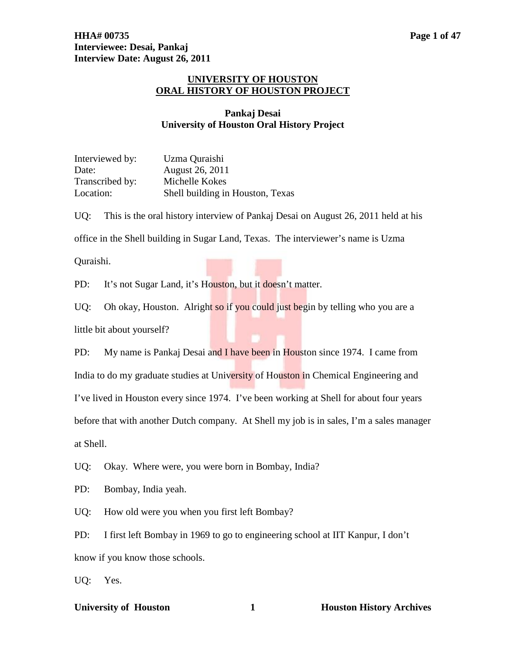# **UNIVERSITY OF HOUSTON ORAL HISTORY OF HOUSTON PROJECT**

# **Pankaj Desai University of Houston Oral History Project**

| Interviewed by: | Uzma Quraishi                    |
|-----------------|----------------------------------|
| Date:           | August 26, 2011                  |
| Transcribed by: | Michelle Kokes                   |
| Location:       | Shell building in Houston, Texas |

UQ: This is the oral history interview of Pankaj Desai on August 26, 2011 held at his office in the Shell building in Sugar Land, Texas. The interviewer's name is Uzma

Quraishi.

PD: It's not Sugar Land, it's Houston, but it doesn't matter.

UQ: Oh okay, Houston. Alright so if you could just begin by telling who you are a little bit about yourself?

PD: My name is Pankaj Desai and I have been in Houston since 1974. I came from India to do my graduate studies at University of Houston in Chemical Engineering and I've lived in Houston every since 1974. I've been working at Shell for about four years before that with another Dutch company. At Shell my job is in sales, I'm a sales manager at Shell.

UQ: Okay. Where were, you were born in Bombay, India?

PD: Bombay, India yeah.

UQ: How old were you when you first left Bombay?

PD: I first left Bombay in 1969 to go to engineering school at IIT Kanpur, I don't know if you know those schools.

UQ: Yes.

### **University of Houston 1 Houston History Archives**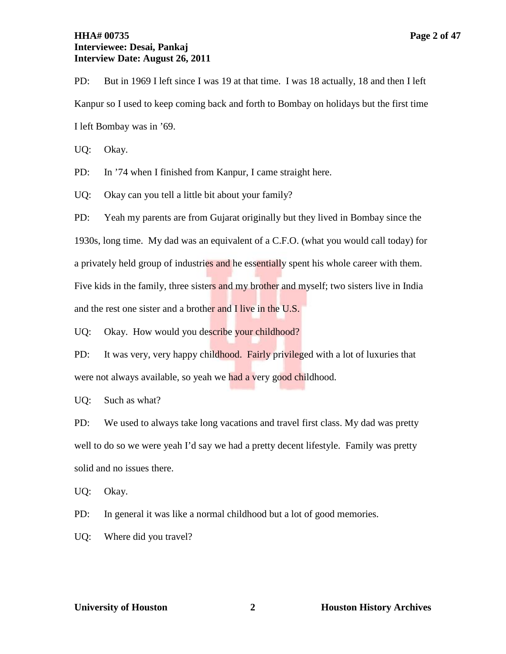# **HHA# 00735 Page 2 of 47 Interviewee: Desai, Pankaj Interview Date: August 26, 2011**

PD: But in 1969 I left since I was 19 at that time. I was 18 actually, 18 and then I left Kanpur so I used to keep coming back and forth to Bombay on holidays but the first time I left Bombay was in '69.

UQ: Okay.

PD: In '74 when I finished from Kanpur, I came straight here.

UQ: Okay can you tell a little bit about your family?

PD: Yeah my parents are from Gujarat originally but they lived in Bombay since the 1930s, long time. My dad was an equivalent of a C.F.O. (what you would call today) for a privately held group of industries and he essentially spent his whole career with them. Five kids in the family, three sisters and my brother and myself; two sisters live in India and the rest one sister and a brother and I live in the U.S.

UQ: Okay. How would you describe your childhood?

PD: It was very, very happy childhood. Fairly privileged with a lot of luxuries that were not always available, so yeah we had a very good childhood.

UQ: Such as what?

PD: We used to always take long vacations and travel first class. My dad was pretty well to do so we were yeah I'd say we had a pretty decent lifestyle. Family was pretty solid and no issues there.

UQ: Okay.

PD: In general it was like a normal childhood but a lot of good memories.

UQ: Where did you travel?

**View Constanting Constanting Constanting Constanting Constanting Constanting Constanting Constanting Constanting Constanting Constanting Constanting Constanting Constanting Constanting Constanting Constanting Constanting**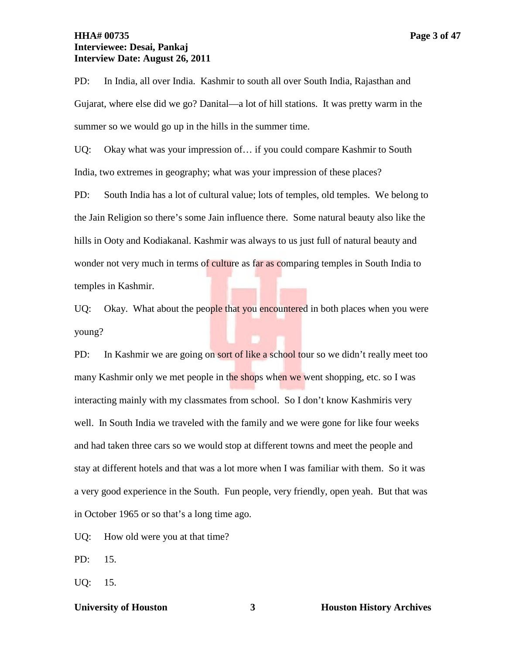# **HHA# 00735 Page 3 of 47 Interviewee: Desai, Pankaj Interview Date: August 26, 2011**

PD: In India, all over India. Kashmir to south all over South India, Rajasthan and Gujarat, where else did we go? Danital—a lot of hill stations. It was pretty warm in the summer so we would go up in the hills in the summer time.

UQ: Okay what was your impression of... if you could compare Kashmir to South India, two extremes in geography; what was your impression of these places?

PD: South India has a lot of cultural value; lots of temples, old temples. We belong to the Jain Religion so there's some Jain influence there. Some natural beauty also like the hills in Ooty and Kodiakanal. Kashmir was always to us just full of natural beauty and wonder not very much in terms of culture as far as comparing temples in South India to temples in Kashmir.

UQ: Okay. What about the people that you encountered in both places when you were young?

PD: In Kashmir we are going on sort of like a school tour so we didn't really meet too many Kashmir only we met people in the shops when we went shopping, etc. so I was interacting mainly with my classmates from school. So I don't know Kashmiris very well. In South India we traveled with the family and we were gone for like four weeks and had taken three cars so we would stop at different towns and meet the people and stay at different hotels and that was a lot more when I was familiar with them. So it was a very good experience in the South. Fun people, very friendly, open yeah. But that was in October 1965 or so that's a long time ago.

UQ: How old were you at that time?

PD: 15.

UQ: 15.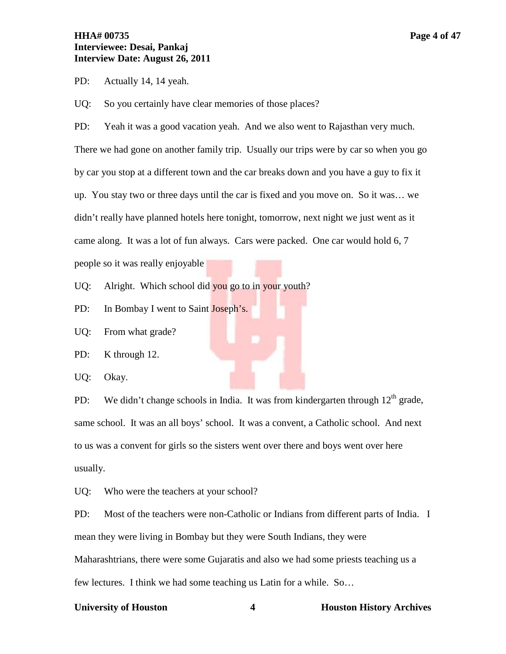PD: Actually 14, 14 yeah.

UQ: So you certainly have clear memories of those places?

PD: Yeah it was a good vacation yeah. And we also went to Rajasthan very much. There we had gone on another family trip. Usually our trips were by car so when you go by car you stop at a different town and the car breaks down and you have a guy to fix it up. You stay two or three days until the car is fixed and you move on. So it was… we didn't really have planned hotels here tonight, tomorrow, next night we just went as it came along. It was a lot of fun always. Cars were packed. One car would hold 6, 7 people so it was really enjoyable

UQ: Alright. Which school did you go to in your youth?

PD: In Bombay I went to Saint Joseph's.

UQ: From what grade?

PD: K through 12.

UQ: Okay.

PD: We didn't change schools in India. It was from kindergarten through  $12<sup>th</sup>$  grade, same school. It was an all boys' school. It was a convent, a Catholic school. And next to us was a convent for girls so the sisters went over there and boys went over here usually.

UQ: Who were the teachers at your school?

PD: Most of the teachers were non-Catholic or Indians from different parts of India. I mean they were living in Bombay but they were South Indians, they were Maharashtrians, there were some Gujaratis and also we had some priests teaching us a few lectures. I think we had some teaching us Latin for a while. So…

### **University of Houston 4 Houston History Archives**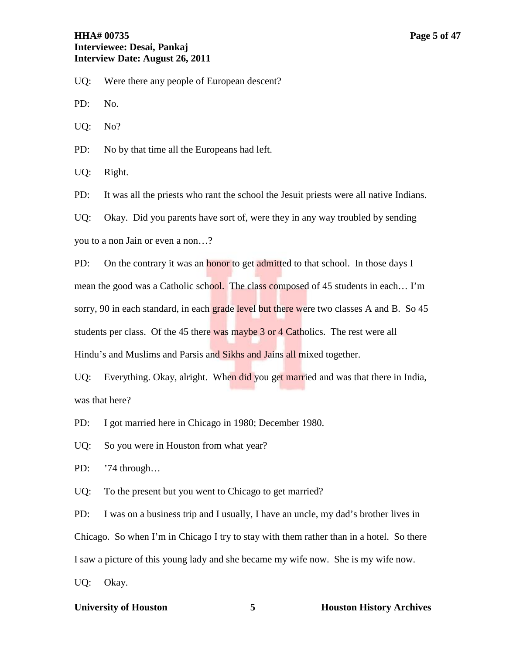PD: No.

UQ: No?

PD: No by that time all the Europeans had left.

UQ: Right.

PD: It was all the priests who rant the school the Jesuit priests were all native Indians.

UQ: Okay. Did you parents have sort of, were they in any way troubled by sending you to a non Jain or even a non…?

PD: On the contrary it was an **honor** to get admitted to that school. In those days I mean the good was a Catholic school. The class composed of 45 students in each... I'm sorry, 90 in each standard, in each grade level but there were two classes A and B. So 45 students per class. Of the 45 there was maybe 3 or 4 Catholics. The rest were all Hindu's and Muslims and Parsis and Sikhs and Jains all mixed together.

UQ: Everything. Okay, alright. When did you get married and was that there in India, was that here?

PD: I got married here in Chicago in 1980; December 1980.

UQ: So you were in Houston from what year?

PD: '74 through…

UQ: To the present but you went to Chicago to get married?

PD: I was on a business trip and I usually, I have an uncle, my dad's brother lives in Chicago. So when I'm in Chicago I try to stay with them rather than in a hotel. So there I saw a picture of this young lady and she became my wife now. She is my wife now. UQ: Okay.

## **University of Houston 5 Houston History Archives**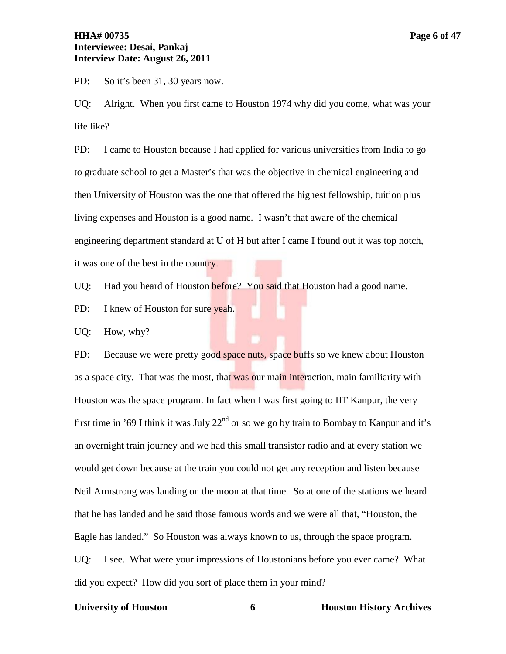# **HHA# 00735 Page 6 of 47 Interviewee: Desai, Pankaj Interview Date: August 26, 2011**

PD: So it's been 31, 30 years now.

UQ: Alright. When you first came to Houston 1974 why did you come, what was your life like?

PD: I came to Houston because I had applied for various universities from India to go to graduate school to get a Master's that was the objective in chemical engineering and then University of Houston was the one that offered the highest fellowship, tuition plus living expenses and Houston is a good name. I wasn't that aware of the chemical engineering department standard at U of H but after I came I found out it was top notch, it was one of the best in the country.

UQ: Had you heard of Houston before? You said that Houston had a good name.

PD: I knew of Houston for sure yeah.

UQ: How, why?

PD: Because we were pretty good space nuts, space buffs so we knew about Houston as a space city. That was the most, that was our main interaction, main familiarity with Houston was the space program. In fact when I was first going to IIT Kanpur, the very first time in '69 I think it was July  $22<sup>nd</sup>$  or so we go by train to Bombay to Kanpur and it's an overnight train journey and we had this small transistor radio and at every station we would get down because at the train you could not get any reception and listen because Neil Armstrong was landing on the moon at that time. So at one of the stations we heard that he has landed and he said those famous words and we were all that, "Houston, the Eagle has landed." So Houston was always known to us, through the space program. UQ: I see. What were your impressions of Houstonians before you ever came? What did you expect? How did you sort of place them in your mind?

### **University of Houston 6 Houston History Archives**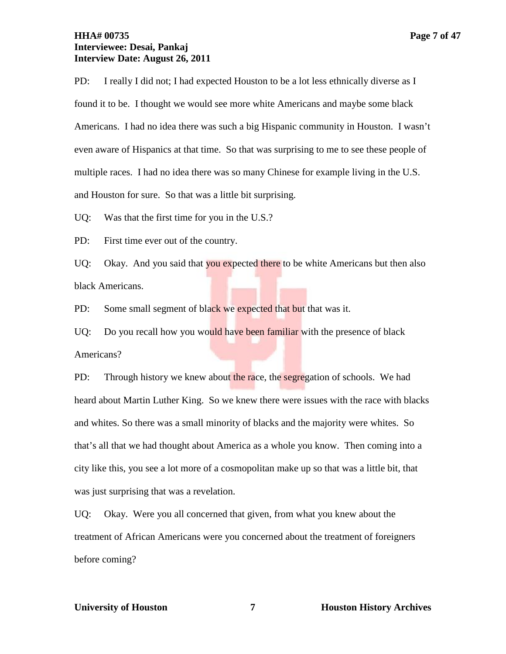# **HHA# 00735 Page 7 of 47 Interviewee: Desai, Pankaj Interview Date: August 26, 2011**

PD: I really I did not; I had expected Houston to be a lot less ethnically diverse as I found it to be. I thought we would see more white Americans and maybe some black Americans. I had no idea there was such a big Hispanic community in Houston. I wasn't even aware of Hispanics at that time. So that was surprising to me to see these people of multiple races. I had no idea there was so many Chinese for example living in the U.S. and Houston for sure. So that was a little bit surprising.

UQ: Was that the first time for you in the U.S.?

PD: First time ever out of the country.

UQ: Okay. And you said that you expected there to be white Americans but then also black Americans.

PD: Some small segment of black we expected that but that was it.

UQ: Do you recall how you would have been familiar with the presence of black Americans?

PD: Through history we knew about the race, the segregation of schools. We had heard about Martin Luther King. So we knew there were issues with the race with blacks and whites. So there was a small minority of blacks and the majority were whites. So that's all that we had thought about America as a whole you know. Then coming into a city like this, you see a lot more of a cosmopolitan make up so that was a little bit, that was just surprising that was a revelation.

UQ: Okay. Were you all concerned that given, from what you knew about the treatment of African Americans were you concerned about the treatment of foreigners before coming?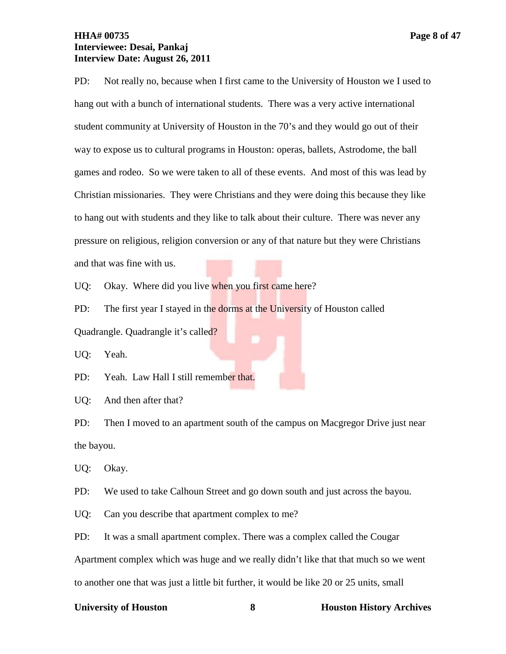# **HHA# 00735 Page 8 of 47 Interviewee: Desai, Pankaj Interview Date: August 26, 2011**

PD: Not really no, because when I first came to the University of Houston we I used to hang out with a bunch of international students. There was a very active international student community at University of Houston in the 70's and they would go out of their way to expose us to cultural programs in Houston: operas, ballets, Astrodome, the ball games and rodeo. So we were taken to all of these events. And most of this was lead by Christian missionaries. They were Christians and they were doing this because they like to hang out with students and they like to talk about their culture. There was never any

pressure on religious, religion conversion or any of that nature but they were Christians

and that was fine with us.

UQ: Okay. Where did you live when you first came here?

PD: The first year I stayed in the dorms at the University of Houston called Quadrangle. Quadrangle it's called?

UQ: Yeah.

PD: Yeah. Law Hall I still remember that.

UQ: And then after that?

PD: Then I moved to an apartment south of the campus on Macgregor Drive just near the bayou.

UQ: Okay.

PD: We used to take Calhoun Street and go down south and just across the bayou.

UQ: Can you describe that apartment complex to me?

PD: It was a small apartment complex. There was a complex called the Cougar

Apartment complex which was huge and we really didn't like that that much so we went

to another one that was just a little bit further, it would be like 20 or 25 units, small

### **University of Houston 8 Houston History Archives**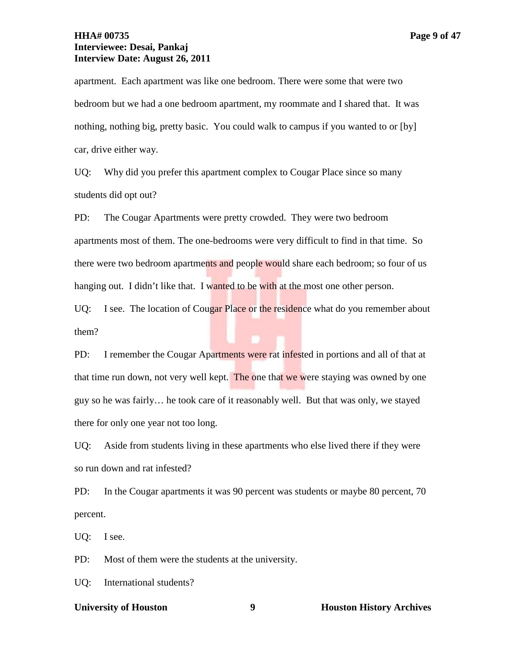# **HHA# 00735 Page 9 of 47 Interviewee: Desai, Pankaj Interview Date: August 26, 2011**

apartment. Each apartment was like one bedroom. There were some that were two bedroom but we had a one bedroom apartment, my roommate and I shared that. It was nothing, nothing big, pretty basic. You could walk to campus if you wanted to or [by] car, drive either way.

UQ: Why did you prefer this apartment complex to Cougar Place since so many students did opt out?

PD: The Cougar Apartments were pretty crowded. They were two bedroom apartments most of them. The one-bedrooms were very difficult to find in that time. So there were two bedroom apartments and people would share each bedroom; so four of us hanging out. I didn't like that. I wanted to be with at the most one other person.

UQ: I see. The location of Cougar Place or the residence what do you remember about them?

PD: I remember the Cougar Apartments were rat infested in portions and all of that at that time run down, not very well kept. The one that we were staying was owned by one guy so he was fairly… he took care of it reasonably well. But that was only, we stayed there for only one year not too long.

UQ: Aside from students living in these apartments who else lived there if they were so run down and rat infested?

PD: In the Cougar apartments it was 90 percent was students or maybe 80 percent, 70 percent.

UQ: I see.

PD: Most of them were the students at the university.

UQ: International students?

### **University of Houston 9 Houston History Archives**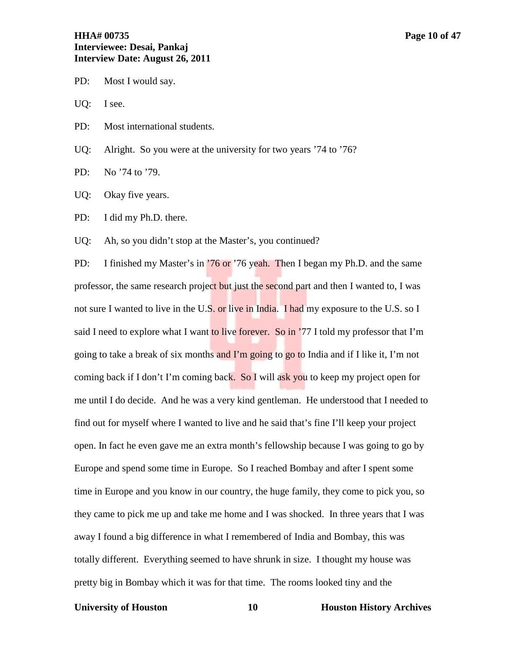# **HHA# 00735 Page 10 of 47 Interviewee: Desai, Pankaj Interview Date: August 26, 2011**

- PD: Most I would say.
- UQ: I see.
- PD: Most international students.

UQ: Alright. So you were at the university for two years '74 to '76?

- PD: No '74 to '79.
- UQ: Okay five years.
- PD: I did my Ph.D. there.
- UQ: Ah, so you didn't stop at the Master's, you continued?

PD: I finished my Master's in '76 or '76 yeah. Then I began my Ph.D. and the same professor, the same research project but just the second part and then I wanted to, I was not sure I wanted to live in the U.S. or live in India. I had my exposure to the U.S. so I said I need to explore what I want to live forever. So in '77 I told my professor that I'm going to take a break of six months and  $\Gamma$ m going to go to India and if I like it, I'm not coming back if I don't I'm coming back. So I will ask you to keep my project open for me until I do decide. And he was a very kind gentleman. He understood that I needed to find out for myself where I wanted to live and he said that's fine I'll keep your project open. In fact he even gave me an extra month's fellowship because I was going to go by Europe and spend some time in Europe. So I reached Bombay and after I spent some time in Europe and you know in our country, the huge family, they come to pick you, so they came to pick me up and take me home and I was shocked. In three years that I was away I found a big difference in what I remembered of India and Bombay, this was totally different. Everything seemed to have shrunk in size. I thought my house was pretty big in Bombay which it was for that time. The rooms looked tiny and the

### **University of Houston 10 Houston History Archives**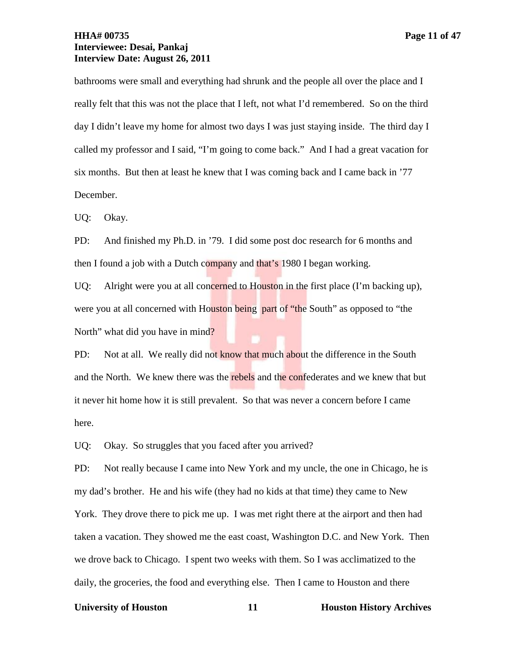bathrooms were small and everything had shrunk and the people all over the place and I really felt that this was not the place that I left, not what I'd remembered. So on the third day I didn't leave my home for almost two days I was just staying inside. The third day I called my professor and I said, "I'm going to come back." And I had a great vacation for six months. But then at least he knew that I was coming back and I came back in '77 December.

UQ: Okay.

PD: And finished my Ph.D. in '79. I did some post doc research for 6 months and then I found a job with a Dutch company and that's 1980 I began working.

UQ: Alright were you at all concerned to Houston in the first place (I'm backing up), were you at all concerned with Houston being part of "the South" as opposed to "the North" what did you have in mind?

PD: Not at all. We really did not know that much about the difference in the South and the North. We knew there was the rebels and the confederates and we knew that but it never hit home how it is still prevalent. So that was never a concern before I came here.

UQ: Okay. So struggles that you faced after you arrived?

PD: Not really because I came into New York and my uncle, the one in Chicago, he is my dad's brother. He and his wife (they had no kids at that time) they came to New York. They drove there to pick me up. I was met right there at the airport and then had taken a vacation. They showed me the east coast, Washington D.C. and New York. Then we drove back to Chicago. I spent two weeks with them. So I was acclimatized to the daily, the groceries, the food and everything else. Then I came to Houston and there

### **University of Houston 11 Houston History Archives**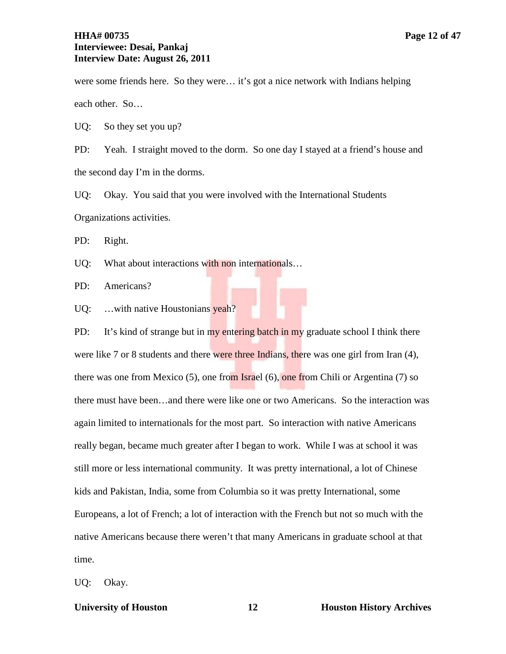# **HHA# 00735 Page 12 of 47 Interviewee: Desai, Pankaj Interview Date: August 26, 2011**

were some friends here. So they were… it's got a nice network with Indians helping each other. So…

UQ: So they set you up?

PD: Yeah. I straight moved to the dorm. So one day I stayed at a friend's house and the second day I'm in the dorms.

UQ: Okay. You said that you were involved with the International Students Organizations activities.

PD: Right.

UQ: What about interactions with non internationals...

PD: Americans?

UQ: ...with native Houstonians yeah?

PD: It's kind of strange but in my entering batch in my graduate school I think there were like 7 or 8 students and there were three Indians, there was one girl from Iran (4), there was one from Mexico (5), one from Israel (6), one from Chili or Argentina (7) so there must have been…and there were like one or two Americans. So the interaction was again limited to internationals for the most part. So interaction with native Americans really began, became much greater after I began to work. While I was at school it was still more or less international community. It was pretty international, a lot of Chinese kids and Pakistan, India, some from Columbia so it was pretty International, some Europeans, a lot of French; a lot of interaction with the French but not so much with the native Americans because there weren't that many Americans in graduate school at that time.

UQ: Okay.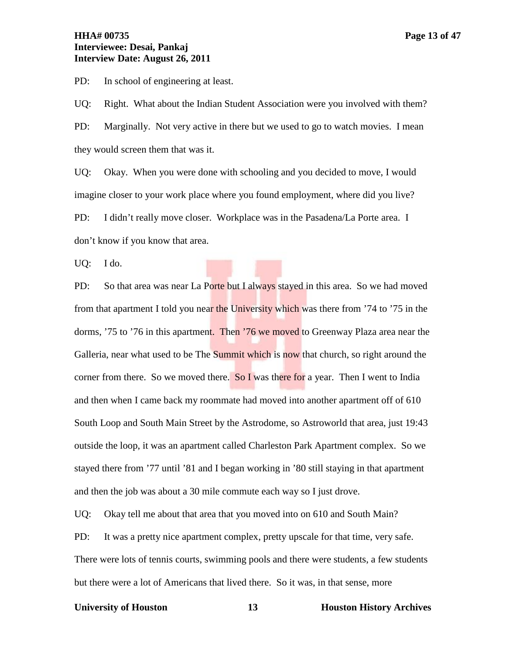# **HHA# 00735 Page 13 of 47 Interviewee: Desai, Pankaj Interview Date: August 26, 2011**

PD: In school of engineering at least.

UQ: Right. What about the Indian Student Association were you involved with them? PD: Marginally. Not very active in there but we used to go to watch movies. I mean they would screen them that was it.

UQ: Okay. When you were done with schooling and you decided to move, I would imagine closer to your work place where you found employment, where did you live? PD: I didn't really move closer. Workplace was in the Pasadena/La Porte area. I don't know if you know that area.

UQ: I do.

PD: So that area was near La Porte but I always stayed in this area. So we had moved from that apartment I told you near the University which was there from '74 to '75 in the dorms, '75 to '76 in this apartment. Then '76 we moved to Greenway Plaza area near the Galleria, near what used to be The Summit which is now that church, so right around the corner from there. So we moved there. So I was there for a year. Then I went to India and then when I came back my roommate had moved into another apartment off of 610 South Loop and South Main Street by the Astrodome, so Astroworld that area, just 19:43 outside the loop, it was an apartment called Charleston Park Apartment complex. So we stayed there from '77 until '81 and I began working in '80 still staying in that apartment and then the job was about a 30 mile commute each way so I just drove.

UQ: Okay tell me about that area that you moved into on 610 and South Main?

PD: It was a pretty nice apartment complex, pretty upscale for that time, very safe. There were lots of tennis courts, swimming pools and there were students, a few students but there were a lot of Americans that lived there. So it was, in that sense, more

### **University of Houston 13 Houston History Archives**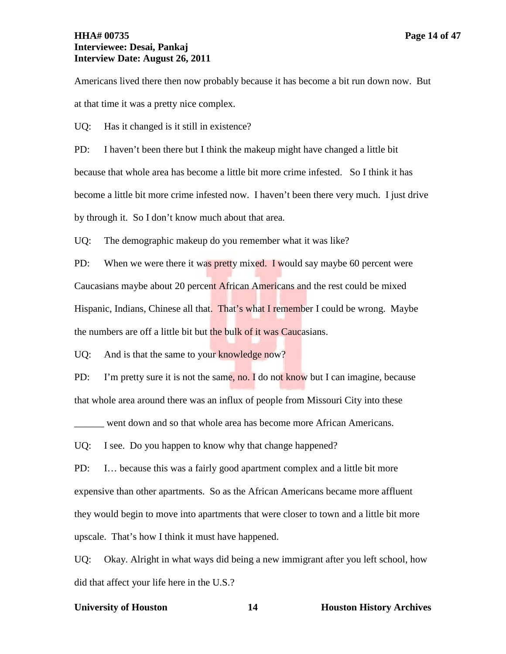at that time it was a pretty nice complex.

UQ: Has it changed is it still in existence?

PD: I haven't been there but I think the makeup might have changed a little bit because that whole area has become a little bit more crime infested. So I think it has become a little bit more crime infested now. I haven't been there very much. I just drive by through it. So I don't know much about that area.

UQ: The demographic makeup do you remember what it was like?

PD: When we were there it was pretty mixed. I would say maybe 60 percent were Caucasians maybe about 20 percent African Americans and the rest could be mixed Hispanic, Indians, Chinese all that. That's what I remember I could be wrong. Maybe the numbers are off a little bit but the bulk of it was Caucasians.

UQ: And is that the same to your knowledge now?

PD: I'm pretty sure it is not the same, no. I do not know but I can imagine, because that whole area around there was an influx of people from Missouri City into these

went down and so that whole area has become more African Americans.

UQ: I see. Do you happen to know why that change happened?

PD: I… because this was a fairly good apartment complex and a little bit more expensive than other apartments. So as the African Americans became more affluent they would begin to move into apartments that were closer to town and a little bit more upscale. That's how I think it must have happened.

UQ: Okay. Alright in what ways did being a new immigrant after you left school, how did that affect your life here in the U.S.?

### **University of Houston 14 Houston History Archives**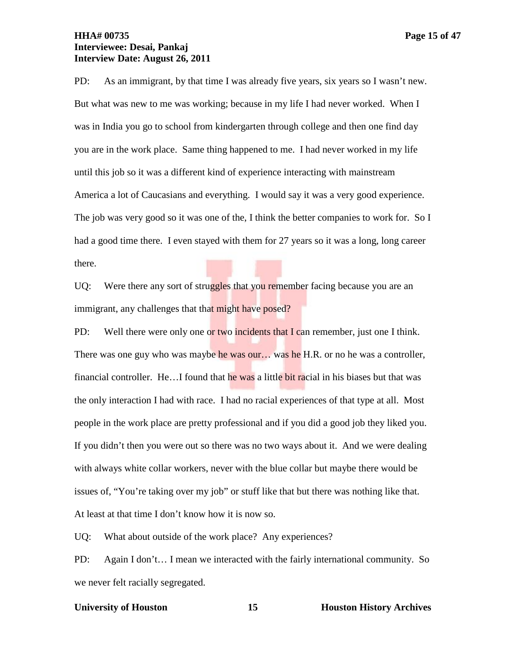# **HHA# 00735 Page 15 of 47 Interviewee: Desai, Pankaj Interview Date: August 26, 2011**

PD: As an immigrant, by that time I was already five years, six years so I wasn't new. But what was new to me was working; because in my life I had never worked. When I was in India you go to school from kindergarten through college and then one find day you are in the work place. Same thing happened to me. I had never worked in my life until this job so it was a different kind of experience interacting with mainstream America a lot of Caucasians and everything. I would say it was a very good experience. The job was very good so it was one of the, I think the better companies to work for. So I had a good time there. I even stayed with them for 27 years so it was a long, long career there.

UQ: Were there any sort of struggles that you remember facing because you are an immigrant, any challenges that that might have posed?

PD: Well there were only one or two incidents that I can remember, just one I think. There was one guy who was maybe he was our... was he H.R. or no he was a controller, financial controller. He…I found that he was a little bit racial in his biases but that was the only interaction I had with race. I had no racial experiences of that type at all. Most people in the work place are pretty professional and if you did a good job they liked you. If you didn't then you were out so there was no two ways about it. And we were dealing with always white collar workers, never with the blue collar but maybe there would be issues of, "You're taking over my job" or stuff like that but there was nothing like that. At least at that time I don't know how it is now so.

UQ: What about outside of the work place? Any experiences?

PD: Again I don't… I mean we interacted with the fairly international community. So we never felt racially segregated.

# **University of Houston 15 Houston History Archives**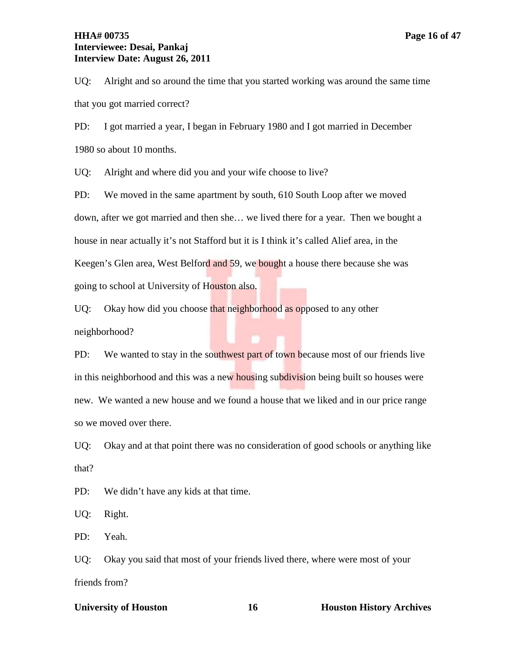# **HHA# 00735 Page 16 of 47 Interviewee: Desai, Pankaj Interview Date: August 26, 2011**

UQ: Alright and so around the time that you started working was around the same time that you got married correct?

PD: I got married a year, I began in February 1980 and I got married in December 1980 so about 10 months.

UQ: Alright and where did you and your wife choose to live?

PD: We moved in the same apartment by south, 610 South Loop after we moved down, after we got married and then she… we lived there for a year. Then we bought a house in near actually it's not Stafford but it is I think it's called Alief area, in the Keegen's Glen area, West Belford and 59, we bought a house there because she was going to school at University of Houston also.

UQ: Okay how did you choose that neighborhood as opposed to any other neighborhood?

PD: We wanted to stay in the southwest part of town because most of our friends live in this neighborhood and this was a new housing subdivision being built so houses were new. We wanted a new house and we found a house that we liked and in our price range so we moved over there.

UQ: Okay and at that point there was no consideration of good schools or anything like that?

PD: We didn't have any kids at that time.

UQ: Right.

PD: Yeah.

UQ: Okay you said that most of your friends lived there, where were most of your friends from?

### **University of Houston 16 Houston History Archives**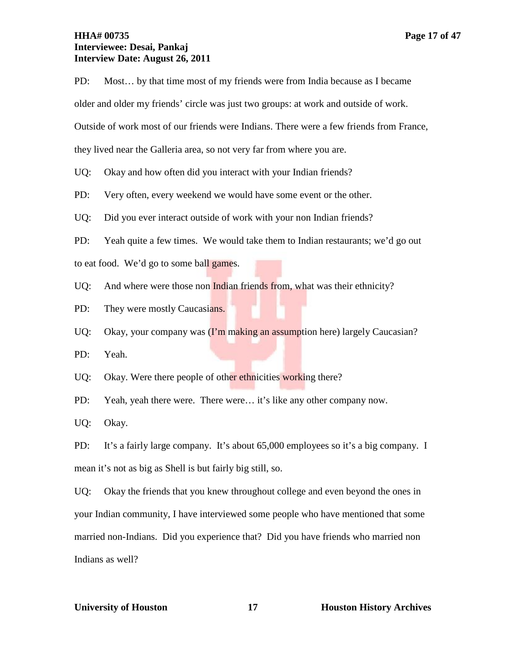# **HHA# 00735 Page 17 of 47 Interviewee: Desai, Pankaj Interview Date: August 26, 2011**

PD: Most… by that time most of my friends were from India because as I became

older and older my friends' circle was just two groups: at work and outside of work.

Outside of work most of our friends were Indians. There were a few friends from France,

they lived near the Galleria area, so not very far from where you are.

UQ: Okay and how often did you interact with your Indian friends?

PD: Very often, every weekend we would have some event or the other.

UQ: Did you ever interact outside of work with your non Indian friends?

PD: Yeah quite a few times. We would take them to Indian restaurants; we'd go out

to eat food. We'd go to some ball games.

UQ: And where were those non Indian friends from, what was their ethnicity?

PD: They were mostly Caucasians.

UQ: Okay, your company was (I'm making an assumption here) largely Caucasian?

PD: Yeah.

UQ: Okay. Were there people of other ethnicities working there?

PD: Yeah, yeah there were. There were… it's like any other company now.

UQ: Okay.

PD: It's a fairly large company. It's about 65,000 employees so it's a big company. I mean it's not as big as Shell is but fairly big still, so.

UQ: Okay the friends that you knew throughout college and even beyond the ones in your Indian community, I have interviewed some people who have mentioned that some married non-Indians. Did you experience that? Did you have friends who married non Indians as well?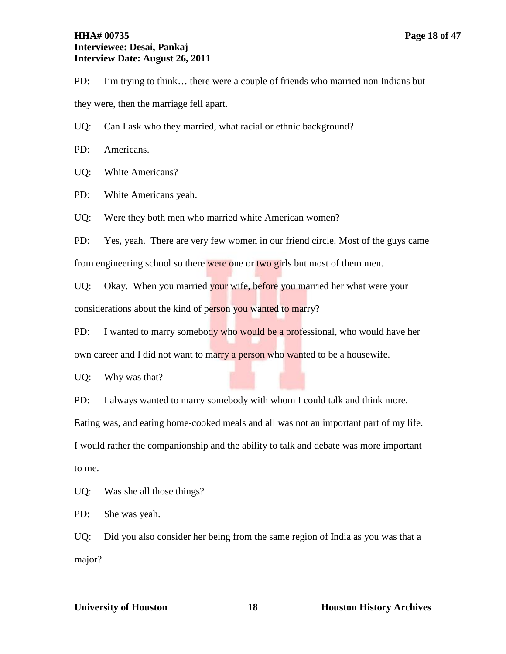# **HHA# 00735 Page 18 of 47 Interviewee: Desai, Pankaj Interview Date: August 26, 2011**

PD: I'm trying to think… there were a couple of friends who married non Indians but they were, then the marriage fell apart.

UQ: Can I ask who they married, what racial or ethnic background?

PD: Americans.

UQ: White Americans?

PD: White Americans yeah.

UQ: Were they both men who married white American women?

PD: Yes, yeah. There are very few women in our friend circle. Most of the guys came from engineering school so there were one or two girls but most of them men.

UQ: Okay. When you married your wife, before you married her what were your considerations about the kind of person you wanted to marry?

PD: I wanted to marry somebody who would be a professional, who would have her own career and I did not want to marry a person who wanted to be a housewife.

UQ: Why was that?

PD: I always wanted to marry somebody with whom I could talk and think more.

Eating was, and eating home-cooked meals and all was not an important part of my life. I would rather the companionship and the ability to talk and debate was more important to me.

UQ: Was she all those things?

PD: She was yeah.

UQ: Did you also consider her being from the same region of India as you was that a major?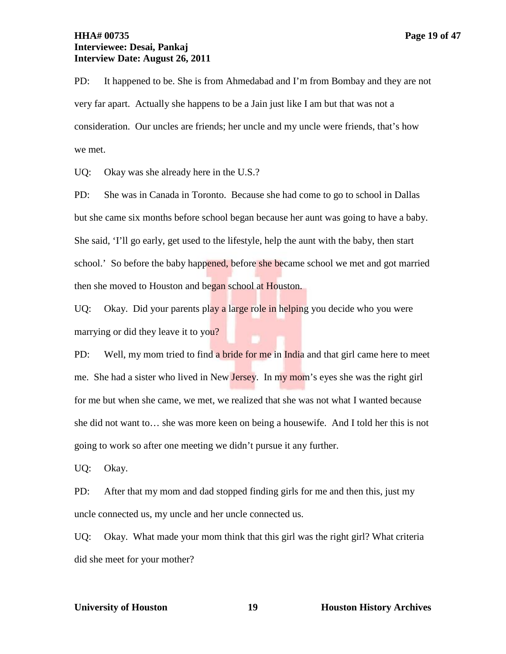# **HHA# 00735 Page 19 of 47 Interviewee: Desai, Pankaj Interview Date: August 26, 2011**

PD: It happened to be. She is from Ahmedabad and I'm from Bombay and they are not very far apart. Actually she happens to be a Jain just like I am but that was not a consideration. Our uncles are friends; her uncle and my uncle were friends, that's how we met.

UQ: Okay was she already here in the U.S.?

PD: She was in Canada in Toronto. Because she had come to go to school in Dallas but she came six months before school began because her aunt was going to have a baby. She said, 'I'll go early, get used to the lifestyle, help the aunt with the baby, then start school.' So before the baby happened, before she became school we met and got married then she moved to Houston and began school at Houston.

UQ: Okay. Did your parents play a large role in helping you decide who you were marrying or did they leave it to you?

PD: Well, my mom tried to find a bride for me in India and that girl came here to meet me. She had a sister who lived in New Jersey. In my mom's eyes she was the right girl for me but when she came, we met, we realized that she was not what I wanted because she did not want to… she was more keen on being a housewife. And I told her this is not going to work so after one meeting we didn't pursue it any further.

UQ: Okay.

PD: After that my mom and dad stopped finding girls for me and then this, just my uncle connected us, my uncle and her uncle connected us.

UQ: Okay. What made your mom think that this girl was the right girl? What criteria did she meet for your mother?

### **University of Houston 19 Houston History Archives**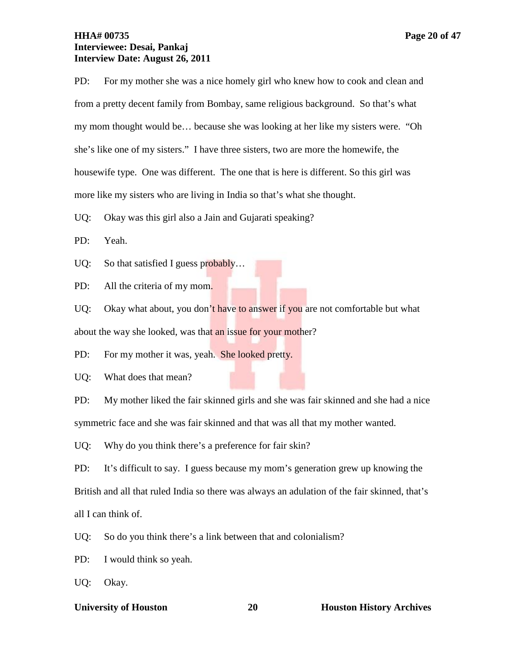# **HHA# 00735 Page 20 of 47 Interviewee: Desai, Pankaj Interview Date: August 26, 2011**

PD: For my mother she was a nice homely girl who knew how to cook and clean and from a pretty decent family from Bombay, same religious background. So that's what my mom thought would be… because she was looking at her like my sisters were. "Oh she's like one of my sisters." I have three sisters, two are more the homewife, the housewife type. One was different. The one that is here is different. So this girl was more like my sisters who are living in India so that's what she thought.

UQ: Okay was this girl also a Jain and Gujarati speaking?

PD: Yeah.

UQ: So that satisfied I guess probably...

PD: All the criteria of my mom.

UQ: Okay what about, you don't have to answer if you are not comfortable but what about the way she looked, was that an issue for your mother?

PD: For my mother it was, yeah. She looked pretty.

UQ: What does that mean?

PD: My mother liked the fair skinned girls and she was fair skinned and she had a nice symmetric face and she was fair skinned and that was all that my mother wanted.

UQ: Why do you think there's a preference for fair skin?

PD: It's difficult to say. I guess because my mom's generation grew up knowing the British and all that ruled India so there was always an adulation of the fair skinned, that's all I can think of.

UQ: So do you think there's a link between that and colonialism?

PD: I would think so yeah.

UQ: Okay.

# **View Exercity of Houston 20 Houston History Archives**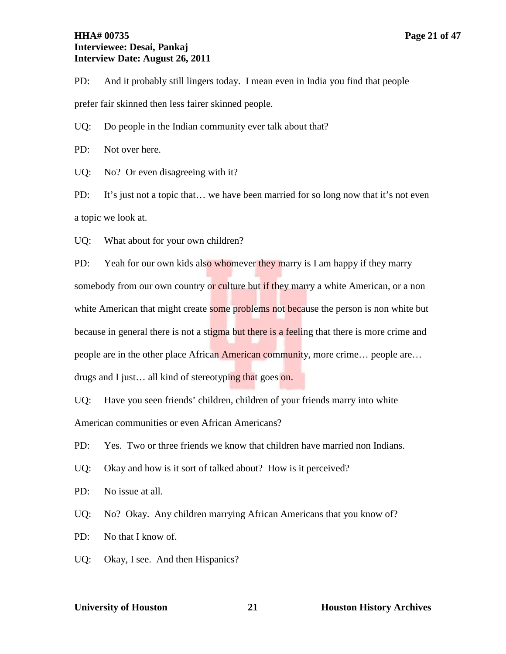# **HHA# 00735 Page 21 of 47 Interviewee: Desai, Pankaj Interview Date: August 26, 2011**

PD: And it probably still lingers today. I mean even in India you find that people prefer fair skinned then less fairer skinned people.

UQ: Do people in the Indian community ever talk about that?

PD: Not over here.

UQ: No? Or even disagreeing with it?

PD: It's just not a topic that... we have been married for so long now that it's not even a topic we look at.

UQ: What about for your own children?

PD: Yeah for our own kids also whomever they marry is I am happy if they marry somebody from our own country or culture but if they marry a white American, or a non white American that might create some problems not because the person is non white but because in general there is not a stigma but there is a feeling that there is more crime and people are in the other place African American community, more crime... people are... drugs and I just… all kind of stereotyping that goes on.

UQ: Have you seen friends' children, children of your friends marry into white American communities or even African Americans?

PD: Yes. Two or three friends we know that children have married non Indians.

UQ: Okay and how is it sort of talked about? How is it perceived?

PD: No issue at all.

UQ: No? Okay. Any children marrying African Americans that you know of?

PD: No that I know of.

UQ: Okay, I see. And then Hispanics?

### **University of Houston 21 Houston History Archives**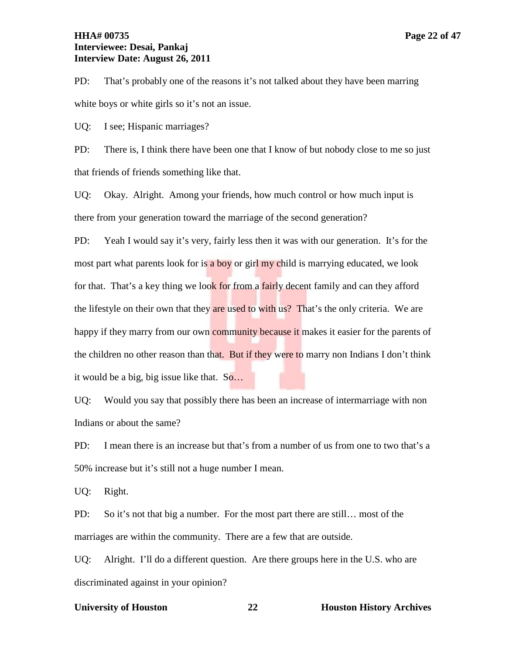# **HHA# 00735 Page 22 of 47 Interviewee: Desai, Pankaj Interview Date: August 26, 2011**

PD: That's probably one of the reasons it's not talked about they have been marring white boys or white girls so it's not an issue.

UQ: I see; Hispanic marriages?

PD: There is, I think there have been one that I know of but nobody close to me so just that friends of friends something like that.

UQ: Okay. Alright. Among your friends, how much control or how much input is there from your generation toward the marriage of the second generation?

PD: Yeah I would say it's very, fairly less then it was with our generation. It's for the most part what parents look for is a boy or girl my child is marrying educated, we look for that. That's a key thing we look for from a fairly decent family and can they afford the lifestyle on their own that they are used to with us? That's the only criteria. We are happy if they marry from our own community because it makes it easier for the parents of the children no other reason than that. But if they were to marry non Indians I don't think it would be a big, big issue like that. So…

UQ: Would you say that possibly there has been an increase of intermarriage with non Indians or about the same?

PD: I mean there is an increase but that's from a number of us from one to two that's a 50% increase but it's still not a huge number I mean.

UQ: Right.

PD: So it's not that big a number. For the most part there are still… most of the marriages are within the community. There are a few that are outside.

UQ: Alright. I'll do a different question. Are there groups here in the U.S. who are discriminated against in your opinion?

### **University of Houston 22 Houston History Archives**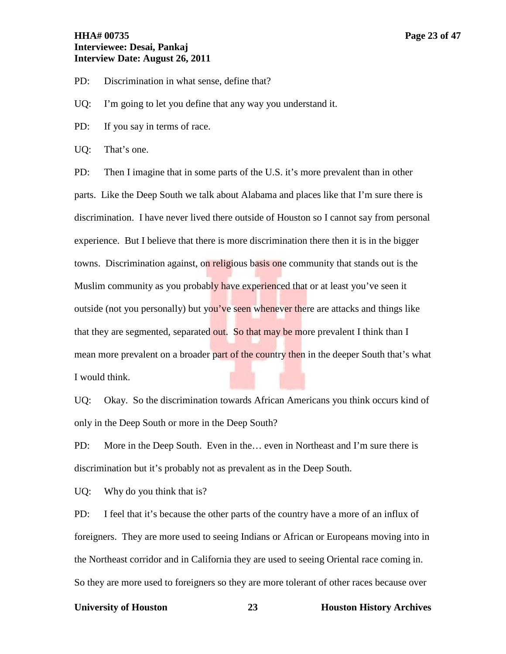# **HHA# 00735 Page 23 of 47 Interviewee: Desai, Pankaj Interview Date: August 26, 2011**

PD: Discrimination in what sense, define that?

UQ: I'm going to let you define that any way you understand it.

PD: If you say in terms of race.

UQ: That's one.

PD: Then I imagine that in some parts of the U.S. it's more prevalent than in other parts. Like the Deep South we talk about Alabama and places like that I'm sure there is discrimination. I have never lived there outside of Houston so I cannot say from personal experience. But I believe that there is more discrimination there then it is in the bigger towns. Discrimination against, on religious basis one community that stands out is the Muslim community as you probably have experienced that or at least you've seen it outside (not you personally) but you've seen whenever there are attacks and things like that they are segmented, separated out. So that may be more prevalent I think than I mean more prevalent on a broader part of the country then in the deeper South that's what I would think.

UQ: Okay. So the discrimination towards African Americans you think occurs kind of only in the Deep South or more in the Deep South?

PD: More in the Deep South. Even in the… even in Northeast and I'm sure there is discrimination but it's probably not as prevalent as in the Deep South.

UQ: Why do you think that is?

PD: I feel that it's because the other parts of the country have a more of an influx of foreigners. They are more used to seeing Indians or African or Europeans moving into in the Northeast corridor and in California they are used to seeing Oriental race coming in. So they are more used to foreigners so they are more tolerant of other races because over

### **University of Houston 23 Houston History Archives**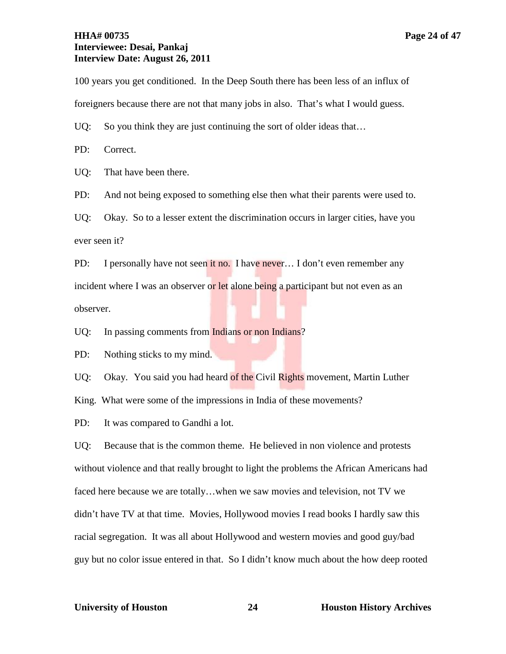# **HHA# 00735 Page 24 of 47 Interviewee: Desai, Pankaj Interview Date: August 26, 2011**

100 years you get conditioned. In the Deep South there has been less of an influx of foreigners because there are not that many jobs in also. That's what I would guess.

UQ: So you think they are just continuing the sort of older ideas that...

PD: Correct.

UQ: That have been there.

PD: And not being exposed to something else then what their parents were used to.

UQ: Okay. So to a lesser extent the discrimination occurs in larger cities, have you ever seen it?

PD: I personally have not seen it no. I have never... I don't even remember any incident where I was an observer or let alone being a participant but not even as an observer.

UQ: In passing comments from Indians or non Indians?

PD: Nothing sticks to my mind.

UQ: Okay. You said you had heard of the Civil Rights movement, Martin Luther

King. What were some of the impressions in India of these movements?

PD: It was compared to Gandhi a lot.

UQ: Because that is the common theme. He believed in non violence and protests without violence and that really brought to light the problems the African Americans had faced here because we are totally…when we saw movies and television, not TV we didn't have TV at that time. Movies, Hollywood movies I read books I hardly saw this racial segregation. It was all about Hollywood and western movies and good guy/bad guy but no color issue entered in that. So I didn't know much about the how deep rooted

### **University of Houston 24 Houston History Archives**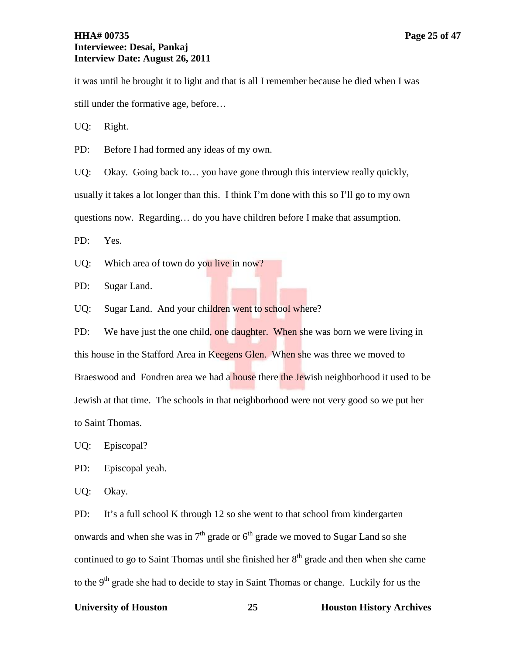# **HHA# 00735 Page 25 of 47 Interviewee: Desai, Pankaj Interview Date: August 26, 2011**

it was until he brought it to light and that is all I remember because he died when I was still under the formative age, before…

UQ: Right.

PD: Before I had formed any ideas of my own.

UQ: Okay. Going back to... you have gone through this interview really quickly, usually it takes a lot longer than this. I think I'm done with this so I'll go to my own questions now. Regarding… do you have children before I make that assumption.

PD: Yes.

UQ: Which area of town do you live in now?

PD: Sugar Land.

UQ: Sugar Land. And your children went to school where?

PD: We have just the one child, one daughter. When she was born we were living in this house in the Stafford Area in Keegens Glen. When she was three we moved to Braeswood and Fondren area we had a **house** there the Jewish neighborhood it used to be Jewish at that time. The schools in that neighborhood were not very good so we put her to Saint Thomas.

UQ: Episcopal?

PD: Episcopal yeah.

UQ: Okay.

PD: It's a full school K through 12 so she went to that school from kindergarten onwards and when she was in  $7<sup>th</sup>$  grade or  $6<sup>th</sup>$  grade we moved to Sugar Land so she continued to go to Saint Thomas until she finished her  $8<sup>th</sup>$  grade and then when she came to the 9<sup>th</sup> grade she had to decide to stay in Saint Thomas or change. Luckily for us the

# **University of Houston 25 Houston History Archives**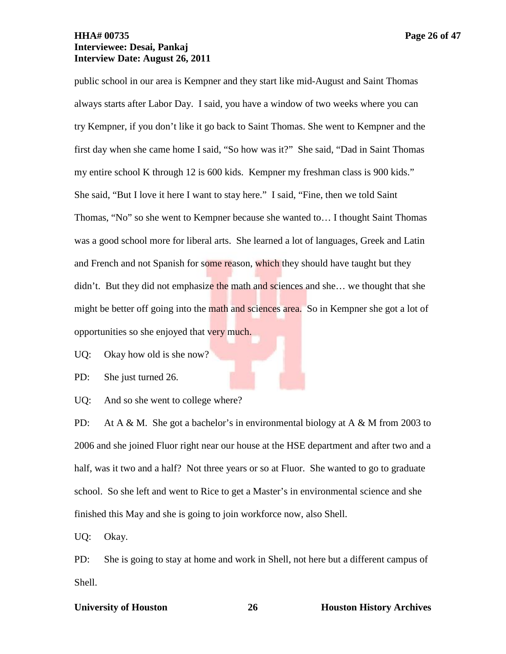public school in our area is Kempner and they start like mid-August and Saint Thomas always starts after Labor Day. I said, you have a window of two weeks where you can try Kempner, if you don't like it go back to Saint Thomas. She went to Kempner and the first day when she came home I said, "So how was it?" She said, "Dad in Saint Thomas my entire school K through 12 is 600 kids. Kempner my freshman class is 900 kids." She said, "But I love it here I want to stay here." I said, "Fine, then we told Saint Thomas, "No" so she went to Kempner because she wanted to… I thought Saint Thomas was a good school more for liberal arts. She learned a lot of languages, Greek and Latin and French and not Spanish for some reason, which they should have taught but they didn't. But they did not emphasize the math and sciences and she... we thought that she might be better off going into the math and sciences area. So in Kempner she got a lot of opportunities so she enjoyed that very much.

UQ: Okay how old is she now?

PD: She just turned 26.

UQ: And so she went to college where?

PD: At A & M. She got a bachelor's in environmental biology at A & M from 2003 to 2006 and she joined Fluor right near our house at the HSE department and after two and a half, was it two and a half? Not three years or so at Fluor. She wanted to go to graduate school. So she left and went to Rice to get a Master's in environmental science and she finished this May and she is going to join workforce now, also Shell.

UQ: Okay.

PD: She is going to stay at home and work in Shell, not here but a different campus of Shell.

# **University of Houston 26 Houston History Archives**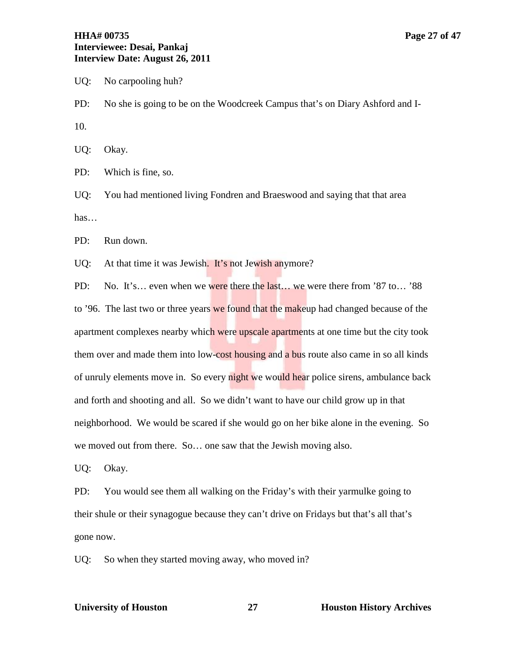# **HHA# 00735 Page 27 of 47 Interviewee: Desai, Pankaj Interview Date: August 26, 2011**

UQ: No carpooling huh?

PD: No she is going to be on the Woodcreek Campus that's on Diary Ashford and I-10.

UQ: Okay.

PD: Which is fine, so.

UQ: You had mentioned living Fondren and Braeswood and saying that that area has…

PD: Run down.

UQ: At that time it was Jewish. It's not Jewish anymore?

PD: No. It's... even when we were there the last... we were there from '87 to... '88 to '96. The last two or three years we found that the makeup had changed because of the apartment complexes nearby which were upscale apartments at one time but the city took them over and made them into low-cost housing and a bus route also came in so all kinds of unruly elements move in. So every night we would hear police sirens, ambulance back and forth and shooting and all. So we didn't want to have our child grow up in that neighborhood. We would be scared if she would go on her bike alone in the evening. So we moved out from there. So… one saw that the Jewish moving also.

UQ: Okay.

PD: You would see them all walking on the Friday's with their yarmulke going to their shule or their synagogue because they can't drive on Fridays but that's all that's gone now.

UQ: So when they started moving away, who moved in?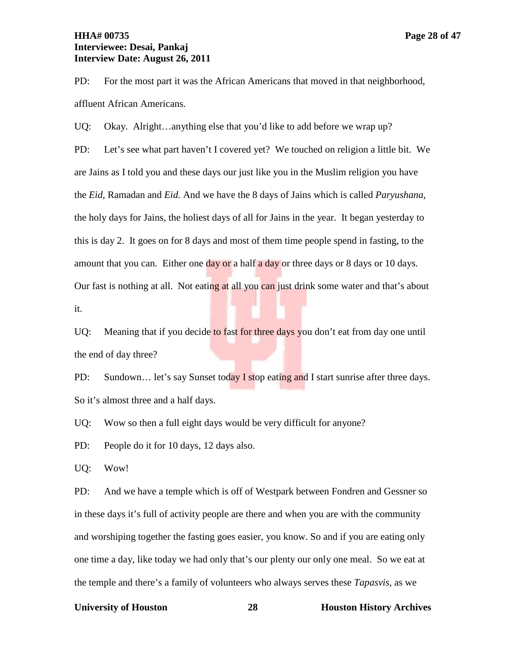# **HHA# 00735 Page 28 of 47 Interviewee: Desai, Pankaj Interview Date: August 26, 2011**

PD: For the most part it was the African Americans that moved in that neighborhood, affluent African Americans.

UQ: Okay. Alright…anything else that you'd like to add before we wrap up?

PD: Let's see what part haven't I covered yet? We touched on religion a little bit. We are Jains as I told you and these days our just like you in the Muslim religion you have the *Eid,* Ramadan and *Eid.* And we have the 8 days of Jains which is called *Paryushana*, the holy days for Jains, the holiest days of all for Jains in the year. It began yesterday to this is day 2. It goes on for 8 days and most of them time people spend in fasting, to the amount that you can. Either one  $day$  or a half a day or three days or 8 days or 10 days. Our fast is nothing at all. Not eating at all you can just drink some water and that's about it.

UQ: Meaning that if you decide to fast for three days you don't eat from day one until the end of day three?

PD: Sundown... let's say Sunset today I stop eating and I start sunrise after three days. So it's almost three and a half days.

UQ: Wow so then a full eight days would be very difficult for anyone?

PD: People do it for 10 days, 12 days also.

UQ: Wow!

PD: And we have a temple which is off of Westpark between Fondren and Gessner so in these days it's full of activity people are there and when you are with the community and worshiping together the fasting goes easier, you know. So and if you are eating only one time a day, like today we had only that's our plenty our only one meal. So we eat at the temple and there's a family of volunteers who always serves these *Tapasvis*, as we

### **University of Houston 28 Houston History Archives**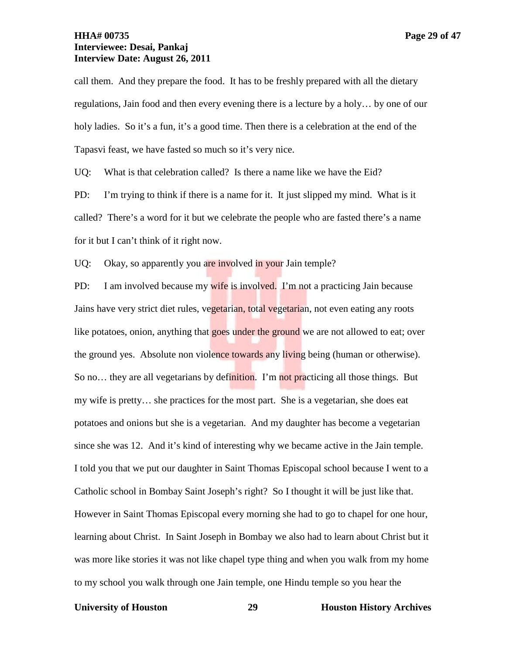# **HHA# 00735 Page 29 of 47 Interviewee: Desai, Pankaj Interview Date: August 26, 2011**

call them. And they prepare the food. It has to be freshly prepared with all the dietary regulations, Jain food and then every evening there is a lecture by a holy… by one of our holy ladies. So it's a fun, it's a good time. Then there is a celebration at the end of the Tapasvi feast, we have fasted so much so it's very nice.

UQ: What is that celebration called? Is there a name like we have the Eid?

PD: I'm trying to think if there is a name for it. It just slipped my mind. What is it called? There's a word for it but we celebrate the people who are fasted there's a name for it but I can't think of it right now.

UQ: Okay, so apparently you are involved in your Jain temple?

PD: I am involved because my wife is involved. I'm not a practicing Jain because Jains have very strict diet rules, vegetarian, total vegetarian, not even eating any roots like potatoes, onion, anything that goes under the ground we are not allowed to eat; over the ground yes. Absolute non violence towards any living being (human or otherwise). So no... they are all vegetarians by definition. I'm not practicing all those things. But my wife is pretty… she practices for the most part. She is a vegetarian, she does eat potatoes and onions but she is a vegetarian. And my daughter has become a vegetarian since she was 12. And it's kind of interesting why we became active in the Jain temple. I told you that we put our daughter in Saint Thomas Episcopal school because I went to a Catholic school in Bombay Saint Joseph's right? So I thought it will be just like that. However in Saint Thomas Episcopal every morning she had to go to chapel for one hour, learning about Christ. In Saint Joseph in Bombay we also had to learn about Christ but it was more like stories it was not like chapel type thing and when you walk from my home to my school you walk through one Jain temple, one Hindu temple so you hear the

### **University of Houston 29 Houston History Archives**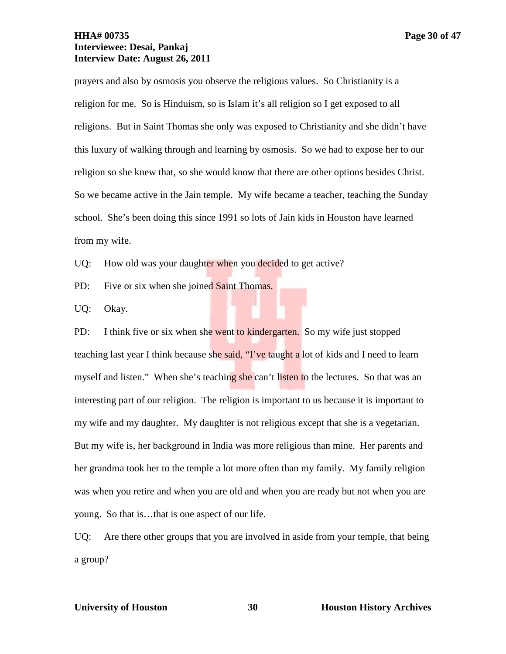# **HHA# 00735 Page 30 of 47 Interviewee: Desai, Pankaj Interview Date: August 26, 2011**

prayers and also by osmosis you observe the religious values. So Christianity is a religion for me. So is Hinduism, so is Islam it's all religion so I get exposed to all religions. But in Saint Thomas she only was exposed to Christianity and she didn't have this luxury of walking through and learning by osmosis. So we had to expose her to our religion so she knew that, so she would know that there are other options besides Christ. So we became active in the Jain temple. My wife became a teacher, teaching the Sunday school. She's been doing this since 1991 so lots of Jain kids in Houston have learned from my wife.

UQ: How old was your daughter when you decided to get active?

PD: Five or six when she joined Saint Thomas.

UQ: Okay.

PD: I think five or six when she went to kindergarten. So my wife just stopped teaching last year I think because she said, "I've taught a lot of kids and I need to learn myself and listen." When she's teaching she can't listen to the lectures. So that was an interesting part of our religion. The religion is important to us because it is important to my wife and my daughter. My daughter is not religious except that she is a vegetarian. But my wife is, her background in India was more religious than mine. Her parents and her grandma took her to the temple a lot more often than my family. My family religion was when you retire and when you are old and when you are ready but not when you are young. So that is…that is one aspect of our life.

UQ: Are there other groups that you are involved in aside from your temple, that being a group?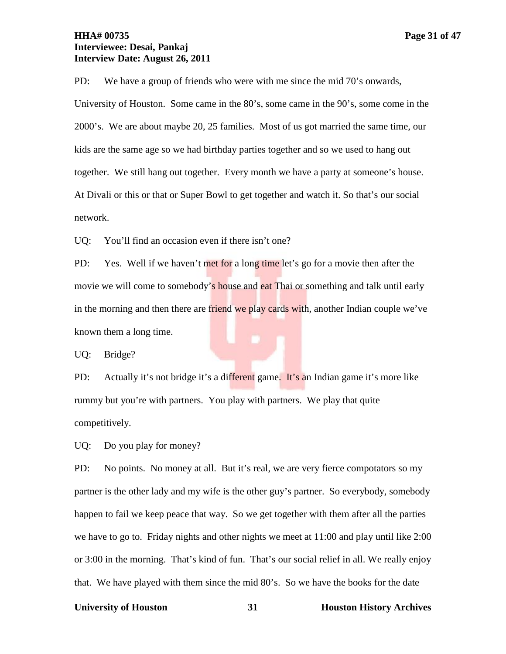# **HHA# 00735 Page 31 of 47 Interviewee: Desai, Pankaj Interview Date: August 26, 2011**

PD: We have a group of friends who were with me since the mid 70's onwards, University of Houston. Some came in the 80's, some came in the 90's, some come in the 2000's. We are about maybe 20, 25 families. Most of us got married the same time, our kids are the same age so we had birthday parties together and so we used to hang out together. We still hang out together. Every month we have a party at someone's house. At Divali or this or that or Super Bowl to get together and watch it. So that's our social network.

UQ: You'll find an occasion even if there isn't one?

PD: Yes. Well if we haven't met for a long time let's go for a movie then after the movie we will come to somebody's house and eat Thai or something and talk until early in the morning and then there are friend we play cards with, another Indian couple we've known them a long time.

UQ: Bridge?

PD: Actually it's not bridge it's a different game. It's an Indian game it's more like rummy but you're with partners. You play with partners. We play that quite competitively.

UQ: Do you play for money?

PD: No points. No money at all. But it's real, we are very fierce compotators so my partner is the other lady and my wife is the other guy's partner. So everybody, somebody happen to fail we keep peace that way. So we get together with them after all the parties we have to go to. Friday nights and other nights we meet at 11:00 and play until like 2:00 or 3:00 in the morning. That's kind of fun. That's our social relief in all. We really enjoy that. We have played with them since the mid 80's. So we have the books for the date

### **University of Houston 31 Houston History Archives**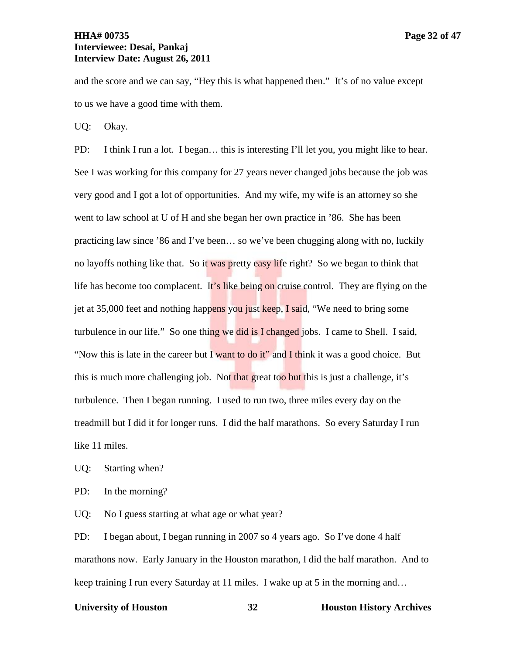and the score and we can say, "Hey this is what happened then." It's of no value except to us we have a good time with them.

UQ: Okay.

PD: I think I run a lot. I began… this is interesting I'll let you, you might like to hear. See I was working for this company for 27 years never changed jobs because the job was very good and I got a lot of opportunities. And my wife, my wife is an attorney so she went to law school at U of H and she began her own practice in '86. She has been practicing law since '86 and I've been… so we've been chugging along with no, luckily no layoffs nothing like that. So it was pretty easy life right? So we began to think that life has become too complacent. It's like being on cruise control. They are flying on the jet at 35,000 feet and nothing happens you just keep, I said, "We need to bring some turbulence in our life." So one thing we did is I changed jobs. I came to Shell. I said, "Now this is late in the career but I want to do it" and I think it was a good choice. But this is much more challenging job. Not that great too but this is just a challenge, it's turbulence. Then I began running. I used to run two, three miles every day on the treadmill but I did it for longer runs. I did the half marathons. So every Saturday I run like 11 miles.

UQ: Starting when?

PD: In the morning?

UQ: No I guess starting at what age or what year?

PD: I began about, I began running in 2007 so 4 years ago. So I've done 4 half marathons now. Early January in the Houston marathon, I did the half marathon. And to keep training I run every Saturday at 11 miles. I wake up at 5 in the morning and…

### **University of Houston 32 Houston History Archives**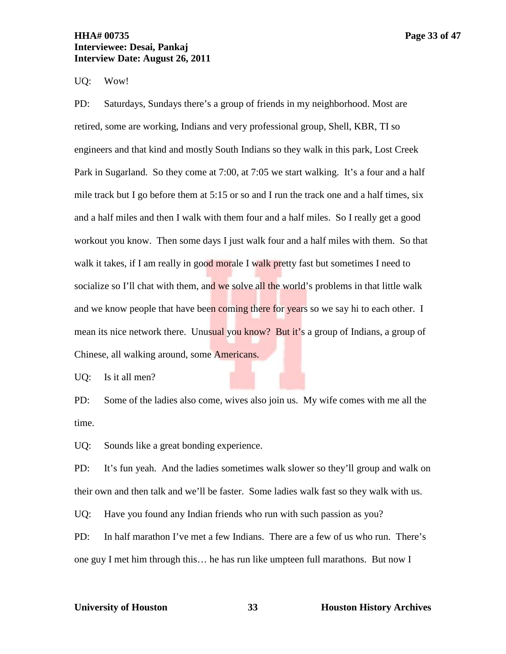# **HHA# 00735 Page 33 of 47 Interviewee: Desai, Pankaj Interview Date: August 26, 2011**

UQ: Wow!

PD: Saturdays, Sundays there's a group of friends in my neighborhood. Most are retired, some are working, Indians and very professional group, Shell, KBR, TI so engineers and that kind and mostly South Indians so they walk in this park, Lost Creek Park in Sugarland. So they come at 7:00, at 7:05 we start walking. It's a four and a half mile track but I go before them at 5:15 or so and I run the track one and a half times, six and a half miles and then I walk with them four and a half miles. So I really get a good workout you know. Then some days I just walk four and a half miles with them. So that walk it takes, if I am really in good morale I walk pretty fast but sometimes I need to socialize so I'll chat with them, and we solve all the world's problems in that little walk and we know people that have been coming there for years so we say hi to each other. I mean its nice network there. Unusual you know? But it's a group of Indians, a group of Chinese, all walking around, some Americans.

UQ: Is it all men?

PD: Some of the ladies also come, wives also join us. My wife comes with me all the time.

UQ: Sounds like a great bonding experience.

PD: It's fun yeah. And the ladies sometimes walk slower so they'll group and walk on their own and then talk and we'll be faster. Some ladies walk fast so they walk with us.

UQ: Have you found any Indian friends who run with such passion as you?

PD: In half marathon I've met a few Indians. There are a few of us who run. There's one guy I met him through this… he has run like umpteen full marathons. But now I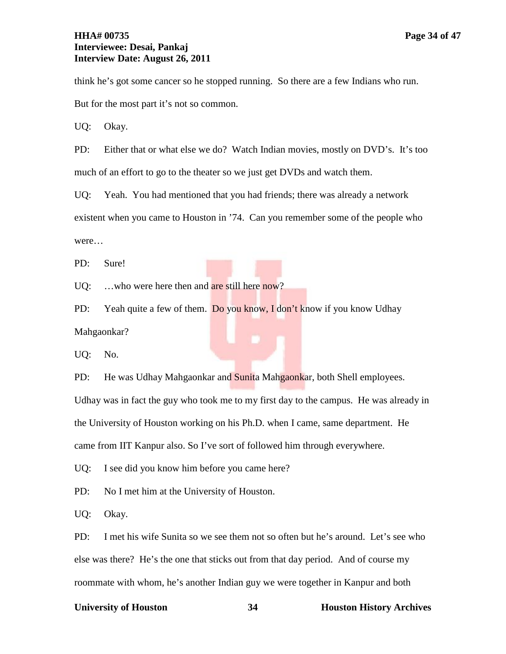# **HHA# 00735 Page 34 of 47 Interviewee: Desai, Pankaj Interview Date: August 26, 2011**

think he's got some cancer so he stopped running. So there are a few Indians who run.

But for the most part it's not so common.

UQ: Okay.

PD: Either that or what else we do? Watch Indian movies, mostly on DVD's. It's too much of an effort to go to the theater so we just get DVDs and watch them.

UQ: Yeah. You had mentioned that you had friends; there was already a network existent when you came to Houston in '74. Can you remember some of the people who were…

PD: Sure!

UQ: ...who were here then and are still here now?

PD: Yeah quite a few of them. Do you know, I don't know if you know Udhay Mahgaonkar?

UQ: No.

PD: He was Udhay Mahgaonkar and Sunita Mahgaonkar, both Shell employees. Udhay was in fact the guy who took me to my first day to the campus. He was already in the University of Houston working on his Ph.D. when I came, same department. He

came from IIT Kanpur also. So I've sort of followed him through everywhere.

UQ: I see did you know him before you came here?

PD: No I met him at the University of Houston.

UQ: Okay.

PD: I met his wife Sunita so we see them not so often but he's around. Let's see who else was there? He's the one that sticks out from that day period. And of course my roommate with whom, he's another Indian guy we were together in Kanpur and both

### **University of Houston 34 Houston History Archives**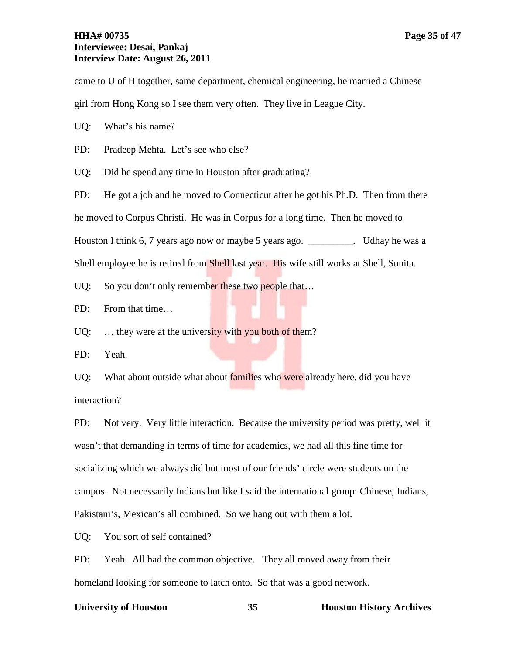# **HHA# 00735 Page 35 of 47 Interviewee: Desai, Pankaj Interview Date: August 26, 2011**

came to U of H together, same department, chemical engineering, he married a Chinese girl from Hong Kong so I see them very often. They live in League City.

UQ: What's his name?

PD: Pradeep Mehta. Let's see who else?

UQ: Did he spend any time in Houston after graduating?

PD: He got a job and he moved to Connecticut after he got his Ph.D. Then from there he moved to Corpus Christi. He was in Corpus for a long time. Then he moved to Houston I think 6, 7 years ago now or maybe 5 years ago. \_\_\_\_\_\_\_\_\_. Udhay he was a Shell employee he is retired from Shell last year. His wife still works at Shell, Sunita.

UQ: So you don't only remember these two people that...

PD: From that time…

UQ: ... they were at the university with you both of them?

PD: Yeah.

UQ: What about outside what about **families** who were already here, did you have interaction?

PD: Not very. Very little interaction. Because the university period was pretty, well it wasn't that demanding in terms of time for academics, we had all this fine time for socializing which we always did but most of our friends' circle were students on the campus. Not necessarily Indians but like I said the international group: Chinese, Indians, Pakistani's, Mexican's all combined. So we hang out with them a lot.

UQ: You sort of self contained?

PD: Yeah. All had the common objective. They all moved away from their homeland looking for someone to latch onto. So that was a good network.

### **University of Houston 35 Houston History Archives**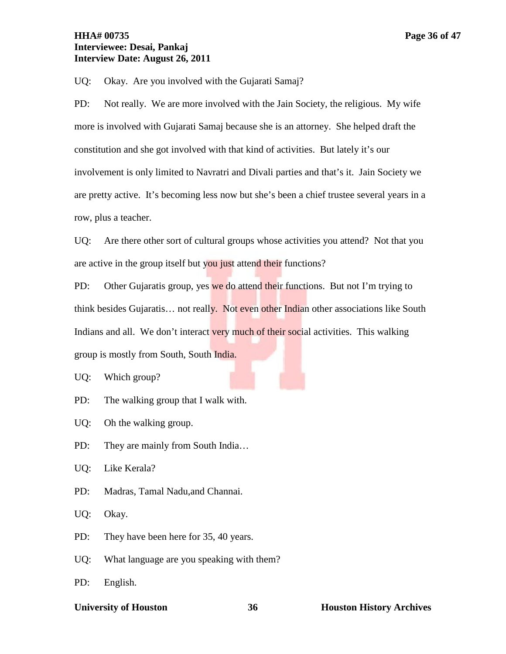UQ: Okay. Are you involved with the Gujarati Samaj?

PD: Not really. We are more involved with the Jain Society, the religious. My wife more is involved with Gujarati Samaj because she is an attorney. She helped draft the constitution and she got involved with that kind of activities. But lately it's our involvement is only limited to Navratri and Divali parties and that's it. Jain Society we are pretty active. It's becoming less now but she's been a chief trustee several years in a row, plus a teacher.

UQ: Are there other sort of cultural groups whose activities you attend? Not that you are active in the group itself but you just attend their functions?

PD: Other Gujaratis group, yes we do attend their functions. But not I'm trying to think besides Gujaratis... not really. Not even other Indian other associations like South Indians and all. We don't interact very much of their social activities. This walking group is mostly from South, South India.

UQ: Which group?

PD: The walking group that I walk with.

UQ: Oh the walking group.

PD: They are mainly from South India...

UQ: Like Kerala?

PD: Madras, Tamal Nadu,and Channai.

UQ: Okay.

PD: They have been here for 35, 40 years.

UQ: What language are you speaking with them?

PD: English.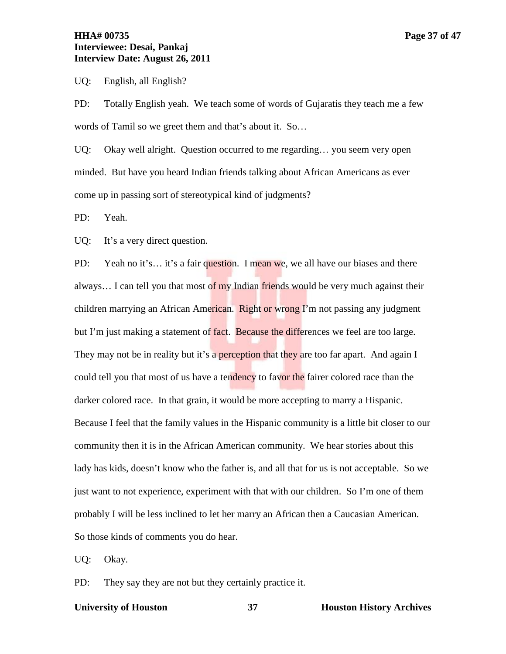UQ: English, all English?

PD: Totally English yeah. We teach some of words of Gujaratis they teach me a few words of Tamil so we greet them and that's about it. So…

UQ: Okay well alright. Question occurred to me regarding… you seem very open minded. But have you heard Indian friends talking about African Americans as ever come up in passing sort of stereotypical kind of judgments?

PD: Yeah.

UQ: It's a very direct question.

PD: Yeah no it's... it's a fair question. I mean we, we all have our biases and there always... I can tell you that most of my Indian friends would be very much against their children marrying an African American. Right or wrong I'm not passing any judgment but I'm just making a statement of fact. Because the differences we feel are too large. They may not be in reality but it's a perception that they are too far apart. And again I could tell you that most of us have a tendency to favor the fairer colored race than the darker colored race. In that grain, it would be more accepting to marry a Hispanic. Because I feel that the family values in the Hispanic community is a little bit closer to our community then it is in the African American community. We hear stories about this lady has kids, doesn't know who the father is, and all that for us is not acceptable. So we just want to not experience, experiment with that with our children. So I'm one of them probably I will be less inclined to let her marry an African then a Caucasian American. So those kinds of comments you do hear.

UQ: Okay.

PD: They say they are not but they certainly practice it.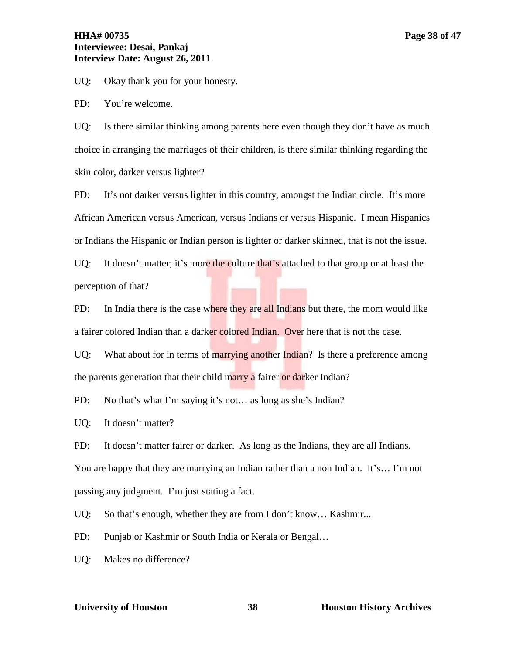# **HHA# 00735 Page 38 of 47 Interviewee: Desai, Pankaj Interview Date: August 26, 2011**

UQ: Okay thank you for your honesty.

PD: You're welcome.

UQ: Is there similar thinking among parents here even though they don't have as much choice in arranging the marriages of their children, is there similar thinking regarding the skin color, darker versus lighter?

PD: It's not darker versus lighter in this country, amongst the Indian circle. It's more African American versus American, versus Indians or versus Hispanic. I mean Hispanics or Indians the Hispanic or Indian person is lighter or darker skinned, that is not the issue.

UQ: It doesn't matter; it's more the culture that's attached to that group or at least the perception of that?

PD: In India there is the case where they are all Indians but there, the mom would like a fairer colored Indian than a darker colored Indian. Over here that is not the case.

UQ: What about for in terms of marrying another Indian? Is there a preference among the parents generation that their child marry a fairer or darker Indian?

PD: No that's what I'm saying it's not... as long as she's Indian?

UQ: It doesn't matter?

PD: It doesn't matter fairer or darker. As long as the Indians, they are all Indians. You are happy that they are marrying an Indian rather than a non Indian. It's… I'm not passing any judgment. I'm just stating a fact.

UQ: So that's enough, whether they are from I don't know... Kashmir...

PD: Punjab or Kashmir or South India or Kerala or Bengal...

UQ: Makes no difference?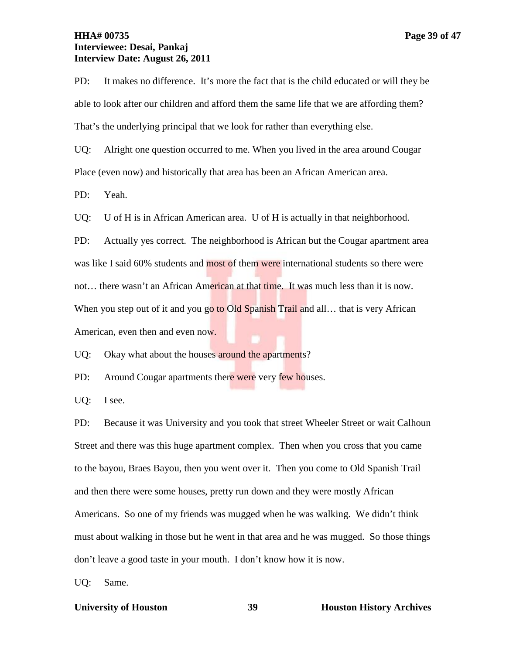# **HHA# 00735 Page 39 of 47 Interviewee: Desai, Pankaj Interview Date: August 26, 2011**

PD: It makes no difference. It's more the fact that is the child educated or will they be able to look after our children and afford them the same life that we are affording them? That's the underlying principal that we look for rather than everything else.

UQ: Alright one question occurred to me. When you lived in the area around Cougar Place (even now) and historically that area has been an African American area.

PD: Yeah.

UQ: U of H is in African American area. U of H is actually in that neighborhood.

PD: Actually yes correct. The neighborhood is African but the Cougar apartment area was like I said 60% students and most of them were international students so there were not... there wasn't an African American at that time. It was much less than it is now. When you step out of it and you go to Old Spanish Trail and all... that is very African American, even then and even now.

UQ: Okay what about the houses around the apartments?

PD: Around Cougar apartments there were very few houses.

UQ: I see.

PD: Because it was University and you took that street Wheeler Street or wait Calhoun Street and there was this huge apartment complex. Then when you cross that you came to the bayou, Braes Bayou, then you went over it. Then you come to Old Spanish Trail and then there were some houses, pretty run down and they were mostly African Americans. So one of my friends was mugged when he was walking. We didn't think must about walking in those but he went in that area and he was mugged. So those things don't leave a good taste in your mouth. I don't know how it is now.

UQ: Same.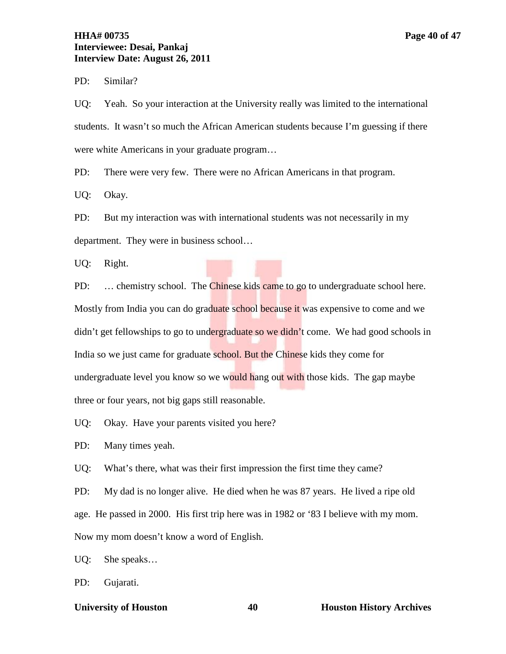# **HHA# 00735 Page 40 of 47 Interviewee: Desai, Pankaj Interview Date: August 26, 2011**

PD: Similar?

UQ: Yeah. So your interaction at the University really was limited to the international students. It wasn't so much the African American students because I'm guessing if there were white Americans in your graduate program…

PD: There were very few. There were no African Americans in that program.

UQ: Okay.

PD: But my interaction was with international students was not necessarily in my department. They were in business school…

UQ: Right.

PD: ... chemistry school. The Chinese kids came to go to undergraduate school here. Mostly from India you can do graduate school because it was expensive to come and we didn't get fellowships to go to undergraduate so we didn't come. We had good schools in India so we just came for graduate school. But the Chinese kids they come for undergraduate level you know so we would hang out with those kids. The gap maybe three or four years, not big gaps still reasonable.

UQ: Okay. Have your parents visited you here?

PD: Many times yeah.

UQ: What's there, what was their first impression the first time they came?

PD: My dad is no longer alive. He died when he was 87 years. He lived a ripe old age. He passed in 2000. His first trip here was in 1982 or '83 I believe with my mom. Now my mom doesn't know a word of English.

UQ: She speaks…

PD: Gujarati.

**University of Houston 40 Houston History Archives**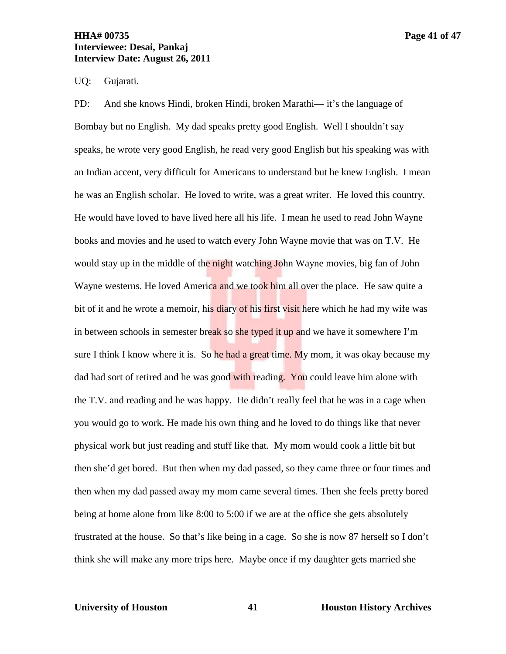# **HHA# 00735 Page 41 of 47 Interviewee: Desai, Pankaj Interview Date: August 26, 2011**

# UQ: Gujarati.

PD: And she knows Hindi, broken Hindi, broken Marathi— it's the language of Bombay but no English. My dad speaks pretty good English. Well I shouldn't say speaks, he wrote very good English, he read very good English but his speaking was with an Indian accent, very difficult for Americans to understand but he knew English. I mean he was an English scholar. He loved to write, was a great writer. He loved this country. He would have loved to have lived here all his life. I mean he used to read John Wayne books and movies and he used to watch every John Wayne movie that was on T.V. He would stay up in the middle of the night watching John Wayne movies, big fan of John Wayne westerns. He loved America and we took him all over the place. He saw quite a bit of it and he wrote a memoir, his diary of his first visit here which he had my wife was in between schools in semester break so she typed it up and we have it somewhere I'm sure I think I know where it is. So he had a great time. My mom, it was okay because my dad had sort of retired and he was good with reading. You could leave him alone with the T.V. and reading and he was happy. He didn't really feel that he was in a cage when you would go to work. He made his own thing and he loved to do things like that never physical work but just reading and stuff like that. My mom would cook a little bit but then she'd get bored. But then when my dad passed, so they came three or four times and then when my dad passed away my mom came several times. Then she feels pretty bored being at home alone from like 8:00 to 5:00 if we are at the office she gets absolutely frustrated at the house. So that's like being in a cage. So she is now 87 herself so I don't think she will make any more trips here. Maybe once if my daughter gets married she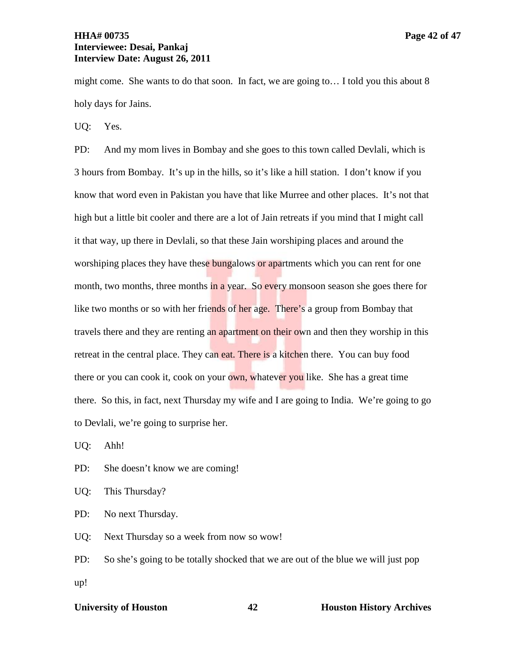might come. She wants to do that soon. In fact, we are going to… I told you this about 8 holy days for Jains.

UQ: Yes.

PD: And my mom lives in Bombay and she goes to this town called Devlali, which is 3 hours from Bombay. It's up in the hills, so it's like a hill station. I don't know if you know that word even in Pakistan you have that like Murree and other places. It's not that high but a little bit cooler and there are a lot of Jain retreats if you mind that I might call it that way, up there in Devlali, so that these Jain worshiping places and around the worshiping places they have these bungalows or apartments which you can rent for one month, two months, three months in a year. So every monsoon season she goes there for like two months or so with her friends of her age. There's a group from Bombay that travels there and they are renting an apartment on their own and then they worship in this retreat in the central place. They can eat. There is a kitchen there. You can buy food there or you can cook it, cook on your own, whatever you like. She has a great time there. So this, in fact, next Thursday my wife and I are going to India. We're going to go to Devlali, we're going to surprise her.

UQ: Ahh!

PD: She doesn't know we are coming!

UQ: This Thursday?

PD: No next Thursday.

UQ: Next Thursday so a week from now so wow!

PD: So she's going to be totally shocked that we are out of the blue we will just pop up!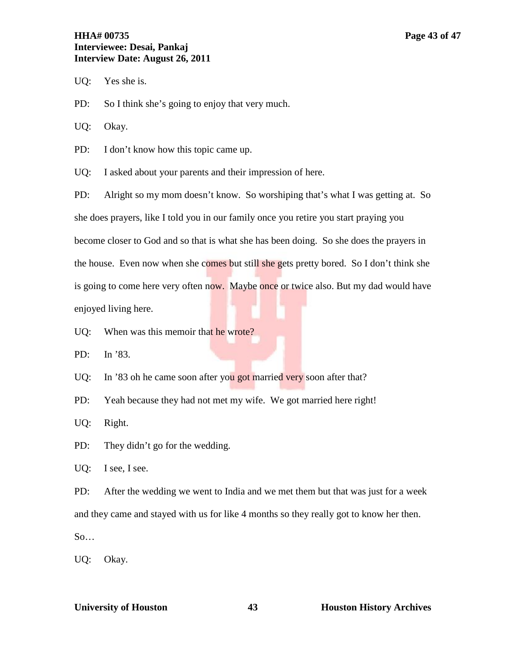# **HHA# 00735 Page 43 of 47 Interviewee: Desai, Pankaj Interview Date: August 26, 2011**

UQ: Yes she is.

PD: So I think she's going to enjoy that very much.

UQ: Okay.

PD: I don't know how this topic came up.

UQ: I asked about your parents and their impression of here.

PD: Alright so my mom doesn't know. So worshiping that's what I was getting at. So she does prayers, like I told you in our family once you retire you start praying you become closer to God and so that is what she has been doing. So she does the prayers in the house. Even now when she comes but still she gets pretty bored. So I don't think she is going to come here very often now. Maybe once or twice also. But my dad would have enjoyed living here.

UQ: When was this memoir that he wrote?

PD: In '83.

UQ: In '83 oh he came soon after you got married very soon after that?

PD: Yeah because they had not met my wife. We got married here right!

UQ: Right.

PD: They didn't go for the wedding.

UQ: I see, I see.

PD: After the wedding we went to India and we met them but that was just for a week and they came and stayed with us for like 4 months so they really got to know her then.  $So...$ 

UQ: Okay.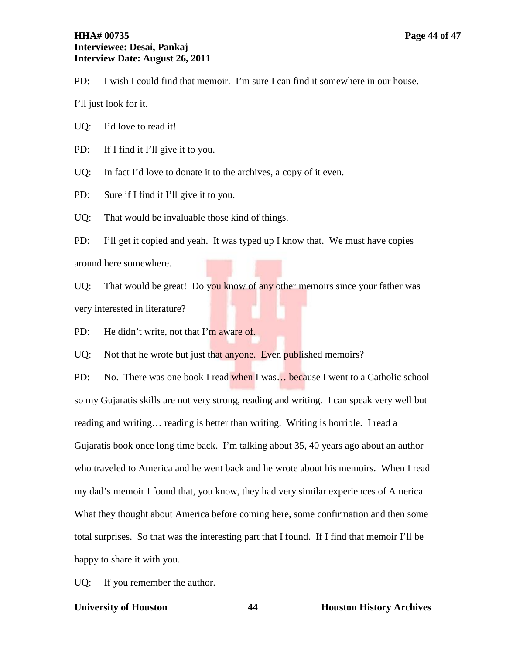# **HHA# 00735 Page 44 of 47 Interviewee: Desai, Pankaj Interview Date: August 26, 2011**

PD: I wish I could find that memoir. I'm sure I can find it somewhere in our house.

I'll just look for it.

UQ: I'd love to read it!

PD: If I find it I'll give it to you.

UQ: In fact I'd love to donate it to the archives, a copy of it even.

PD: Sure if I find it I'll give it to you.

UQ: That would be invaluable those kind of things.

PD: I'll get it copied and yeah. It was typed up I know that. We must have copies around here somewhere.

UQ: That would be great! Do you know of any other memoirs since your father was very interested in literature?

PD: He didn't write, not that I'm aware of.

UQ: Not that he wrote but just that anyone. Even published memoirs?

PD: No. There was one book I read when I was... because I went to a Catholic school so my Gujaratis skills are not very strong, reading and writing. I can speak very well but reading and writing… reading is better than writing. Writing is horrible. I read a Gujaratis book once long time back. I'm talking about 35, 40 years ago about an author who traveled to America and he went back and he wrote about his memoirs. When I read my dad's memoir I found that, you know, they had very similar experiences of America. What they thought about America before coming here, some confirmation and then some total surprises. So that was the interesting part that I found. If I find that memoir I'll be happy to share it with you.

UQ: If you remember the author.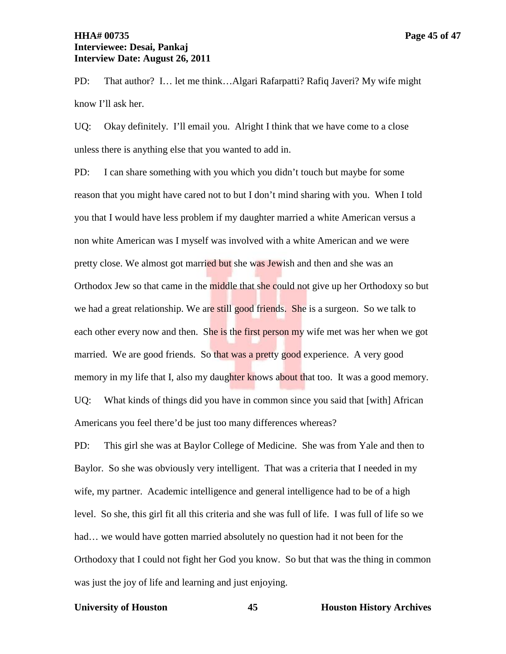PD: That author? I… let me think…Algari Rafarpatti? Rafiq Javeri? My wife might know I'll ask her.

UQ: Okay definitely. I'll email you. Alright I think that we have come to a close unless there is anything else that you wanted to add in.

PD: I can share something with you which you didn't touch but maybe for some reason that you might have cared not to but I don't mind sharing with you. When I told you that I would have less problem if my daughter married a white American versus a non white American was I myself was involved with a white American and we were pretty close. We almost got married but she was Jewish and then and she was an Orthodox Jew so that came in the middle that she could not give up her Orthodoxy so but we had a great relationship. We are still good friends. She is a surgeon. So we talk to each other every now and then. She is the first person my wife met was her when we got married. We are good friends. So that was a pretty good experience. A very good memory in my life that I, also my daughter knows about that too. It was a good memory. UQ: What kinds of things did you have in common since you said that [with] African Americans you feel there'd be just too many differences whereas?

PD: This girl she was at Baylor College of Medicine. She was from Yale and then to Baylor. So she was obviously very intelligent. That was a criteria that I needed in my wife, my partner. Academic intelligence and general intelligence had to be of a high level. So she, this girl fit all this criteria and she was full of life. I was full of life so we had… we would have gotten married absolutely no question had it not been for the Orthodoxy that I could not fight her God you know. So but that was the thing in common was just the joy of life and learning and just enjoying.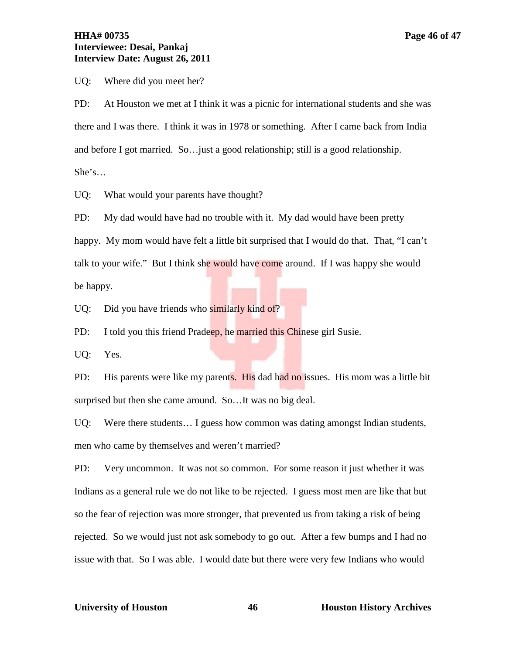# **HHA# 00735 Page 46 of 47 Interviewee: Desai, Pankaj Interview Date: August 26, 2011**

UQ: Where did you meet her?

PD: At Houston we met at I think it was a picnic for international students and she was there and I was there. I think it was in 1978 or something. After I came back from India and before I got married. So…just a good relationship; still is a good relationship.

She's…

UQ: What would your parents have thought?

PD: My dad would have had no trouble with it. My dad would have been pretty happy. My mom would have felt a little bit surprised that I would do that. That, "I can't talk to your wife." But I think she would have come around. If I was happy she would be happy.

UQ: Did you have friends who similarly kind of?

PD: I told you this friend Pradeep, he married this Chinese girl Susie.

UQ: Yes.

PD: His parents were like my parents. His dad had no issues. His mom was a little bit surprised but then she came around. So…It was no big deal.

UQ: Were there students… I guess how common was dating amongst Indian students, men who came by themselves and weren't married?

PD: Very uncommon. It was not so common. For some reason it just whether it was Indians as a general rule we do not like to be rejected. I guess most men are like that but so the fear of rejection was more stronger, that prevented us from taking a risk of being rejected. So we would just not ask somebody to go out. After a few bumps and I had no issue with that. So I was able. I would date but there were very few Indians who would